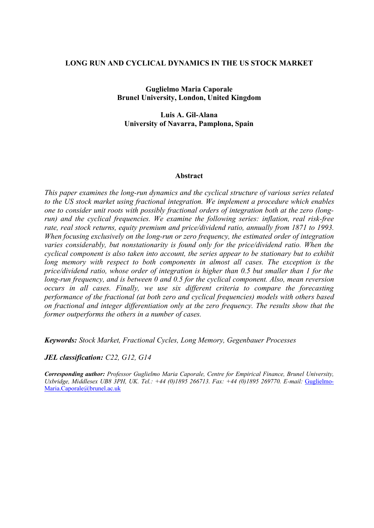## **LONG RUN AND CYCLICAL DYNAMICS IN THE US STOCK MARKET**

**Guglielmo Maria Caporale Brunel University, London, United Kingdom**

**Luis A. Gil-Alana University of Navarra, Pamplona, Spain**

#### **Abstract**

*This paper examines the long-run dynamics and the cyclical structure of various series related to the US stock market using fractional integration. We implement a procedure which enables one to consider unit roots with possibly fractional orders of integration both at the zero (longrun) and the cyclical frequencies. We examine the following series: inflation, real risk-free rate, real stock returns, equity premium and price/dividend ratio, annually from 1871 to 1993. When focusing exclusively on the long-run or zero frequency, the estimated order of integration varies considerably, but nonstationarity is found only for the price/dividend ratio. When the cyclical component is also taken into account, the series appear to be stationary but to exhibit*  long memory with respect to both components in almost all cases. The exception is the *price/dividend ratio, whose order of integration is higher than 0.5 but smaller than 1 for the long-run frequency, and is between 0 and 0.5 for the cyclical component. Also, mean reversion occurs in all cases. Finally, we use six different criteria to compare the forecasting performance of the fractional (at both zero and cyclical frequencies) models with others based on fractional and integer differentiation only at the zero frequency. The results show that the former outperforms the others in a number of cases.*

*Keywords: Stock Market, Fractional Cycles, Long Memory, Gegenbauer Processes*

*JEL classification: C22, G12, G14*

*Corresponding author: Professor Guglielmo Maria Caporale, Centre for Empirical Finance, Brunel University,*  Uxbridge, Middlesex UB8 3PH, UK. Tel.: +44 (0)1895 266713. Fax: +44 (0)1895 269770. E-mail: Guglielmo-Maria.Caporale@brunel.ac.uk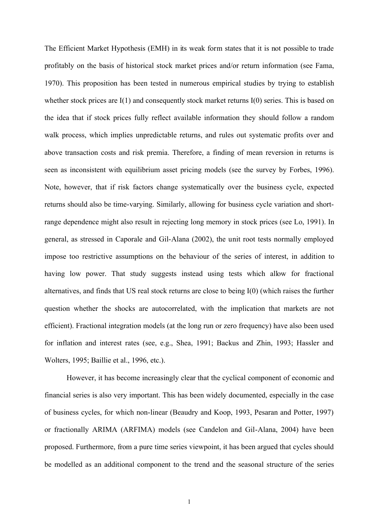The Efficient Market Hypothesis (EMH) in its weak form states that it is not possible to trade profitably on the basis of historical stock market prices and/or return information (see Fama, 1970). This proposition has been tested in numerous empirical studies by trying to establish whether stock prices are I(1) and consequently stock market returns I(0) series. This is based on the idea that if stock prices fully reflect available information they should follow a random walk process, which implies unpredictable returns, and rules out systematic profits over and above transaction costs and risk premia. Therefore, a finding of mean reversion in returns is seen as inconsistent with equilibrium asset pricing models (see the survey by Forbes, 1996). Note, however, that if risk factors change systematically over the business cycle, expected returns should also be time-varying. Similarly, allowing for business cycle variation and shortrange dependence might also result in rejecting long memory in stock prices (see Lo, 1991). In general, as stressed in Caporale and Gil-Alana (2002), the unit root tests normally employed impose too restrictive assumptions on the behaviour of the series of interest, in addition to having low power. That study suggests instead using tests which allow for fractional alternatives, and finds that US real stock returns are close to being I(0) (which raises the further question whether the shocks are autocorrelated, with the implication that markets are not efficient). Fractional integration models (at the long run or zero frequency) have also been used for inflation and interest rates (see, e.g., Shea, 1991; Backus and Zhin, 1993; Hassler and Wolters, 1995; Baillie et al., 1996, etc.).

However, it has become increasingly clear that the cyclical component of economic and financial series is also very important. This has been widely documented, especially in the case of business cycles, for which non-linear (Beaudry and Koop, 1993, Pesaran and Potter, 1997) or fractionally ARIMA (ARFIMA) models (see Candelon and Gil-Alana, 2004) have been proposed. Furthermore, from a pure time series viewpoint, it has been argued that cycles should be modelled as an additional component to the trend and the seasonal structure of the series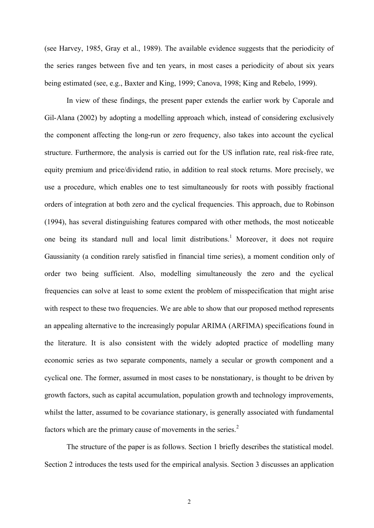(see Harvey, 1985, Gray et al., 1989). The available evidence suggests that the periodicity of the series ranges between five and ten years, in most cases a periodicity of about six years being estimated (see, e.g., Baxter and King, 1999; Canova, 1998; King and Rebelo, 1999).

In view of these findings, the present paper extends the earlier work by Caporale and Gil-Alana (2002) by adopting a modelling approach which, instead of considering exclusively the component affecting the long-run or zero frequency, also takes into account the cyclical structure. Furthermore, the analysis is carried out for the US inflation rate, real risk-free rate, equity premium and price/dividend ratio, in addition to real stock returns. More precisely, we use a procedure, which enables one to test simultaneously for roots with possibly fractional orders of integration at both zero and the cyclical frequencies. This approach, due to Robinson (1994), has several distinguishing features compared with other methods, the most noticeable one being its standard null and local limit distributions.<sup>1</sup> Moreover, it does not require Gaussianity (a condition rarely satisfied in financial time series), a moment condition only of order two being sufficient. Also, modelling simultaneously the zero and the cyclical frequencies can solve at least to some extent the problem of misspecification that might arise with respect to these two frequencies. We are able to show that our proposed method represents an appealing alternative to the increasingly popular ARIMA (ARFIMA) specifications found in the literature. It is also consistent with the widely adopted practice of modelling many economic series as two separate components, namely a secular or growth component and a cyclical one. The former, assumed in most cases to be nonstationary, is thought to be driven by growth factors, such as capital accumulation, population growth and technology improvements, whilst the latter, assumed to be covariance stationary, is generally associated with fundamental factors which are the primary cause of movements in the series.<sup>2</sup>

The structure of the paper is as follows. Section 1 briefly describes the statistical model. Section 2 introduces the tests used for the empirical analysis. Section 3 discusses an application

2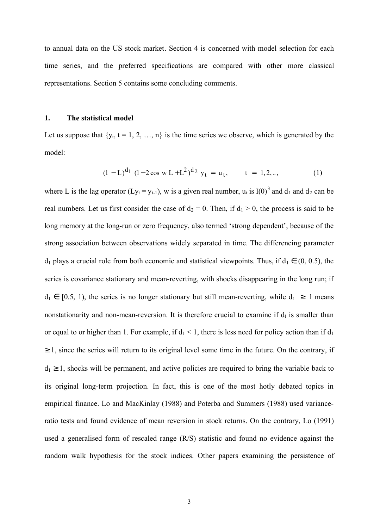to annual data on the US stock market. Section 4 is concerned with model selection for each time series, and the preferred specifications are compared with other more classical representations. Section 5 contains some concluding comments.

#### **1. The statistical model**

Let us suppose that  $\{y_t, t = 1, 2, ..., n\}$  is the time series we observe, which is generated by the model:

$$
(1 - L)^{d_1} (1 - 2\cos w L + L^2)^{d_2} y_t = u_t, \qquad t = 1, 2, ... \qquad (1)
$$

where L is the lag operator (Ly<sub>t</sub> = y<sub>t-1</sub>), w is a given real number, u<sub>t</sub> is I(0)<sup>3</sup> and d<sub>1</sub> and d<sub>2</sub> can be real numbers. Let us first consider the case of  $d_2 = 0$ . Then, if  $d_1 > 0$ , the process is said to be long memory at the long-run or zero frequency, also termed 'strong dependent', because of the strong association between observations widely separated in time. The differencing parameter  $d_1$  plays a crucial role from both economic and statistical viewpoints. Thus, if  $d_1 \in (0, 0.5)$ , the series is covariance stationary and mean-reverting, with shocks disappearing in the long run; if  $d_1 \in [0.5, 1)$ , the series is no longer stationary but still mean-reverting, while  $d_1 \geq 1$  means nonstationarity and non-mean-reversion. It is therefore crucial to examine if  $d_1$  is smaller than or equal to or higher than 1. For example, if  $d_1 < 1$ , there is less need for policy action than if  $d_1$  $\geq 1$ , since the series will return to its original level some time in the future. On the contrary, if  $d_1 \geq 1$ , shocks will be permanent, and active policies are required to bring the variable back to its original long-term projection. In fact, this is one of the most hotly debated topics in empirical finance. Lo and MacKinlay (1988) and Poterba and Summers (1988) used varianceratio tests and found evidence of mean reversion in stock returns. On the contrary, Lo (1991) used a generalised form of rescaled range (R/S) statistic and found no evidence against the random walk hypothesis for the stock indices. Other papers examining the persistence of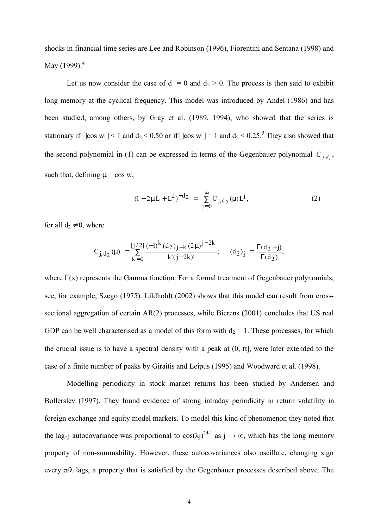shocks in financial time series are Lee and Robinson (1996), Fiorentini and Sentana (1998) and May  $(1999)^4$ 

Let us now consider the case of  $d_1 = 0$  and  $d_2 > 0$ . The process is then said to exhibit long memory at the cyclical frequency. This model was introduced by Andel (1986) and has been studied, among others, by Gray et al. (1989, 1994), who showed that the series is stationary if  $|\cos w| < 1$  and  $d_2 < 0.50$  or if  $|\cos w| = 1$  and  $d_2 < 0.25$ .<sup>5</sup> They also showed that the second polynomial in (1) can be expressed in terms of the Gegenbauer polynomial  $C_{j,d_2}$ , such that, defining  $\mu = \cos w$ ,

$$
(1 - 2\mu L + L^2)^{-d_2} = \sum_{j=0}^{\infty} C_{j,d_2}(\mu) L^j,
$$
 (2)

for all  $d_2 \neq 0$ , where

$$
C_{j, d_2}(\mu) = \sum_{k=0}^{\left[j/2\right]} \frac{(-1)^k (d_2)_{j-k} (2\mu)^{j-2k}}{k!(j-2k)!}; \quad (d_2)_j = \frac{\Gamma(d_2+j)}{\Gamma(d_2)},
$$

where  $\Gamma(x)$  represents the Gamma function. For a formal treatment of Gegenbauer polynomials, see, for example, Szego (1975). Lildholdt (2002) shows that this model can result from crosssectional aggregation of certain AR(2) processes, while Bierens (2001) concludes that US real GDP can be well characterised as a model of this form with  $d_2 = 1$ . These processes, for which the crucial issue is to have a spectral density with a peak at  $(0, \pi]$ , were later extended to the case of a finite number of peaks by Giraitis and Leipus (1995) and Woodward et al. (1998).

Modelling periodicity in stock market returns has been studied by Andersen and Bollerslev (1997). They found evidence of strong intraday periodicity in return volatility in foreign exchange and equity model markets. To model this kind of phenomenon they noted that the lag-j autocovariance was proportional to  $cos(\lambda j)^{2d-1}$  as  $j \to \infty$ , which has the long memory property of non-summability. However, these autocovariances also oscillate, changing sign every  $\pi/\lambda$  lags, a property that is satisfied by the Gegenbauer processes described above. The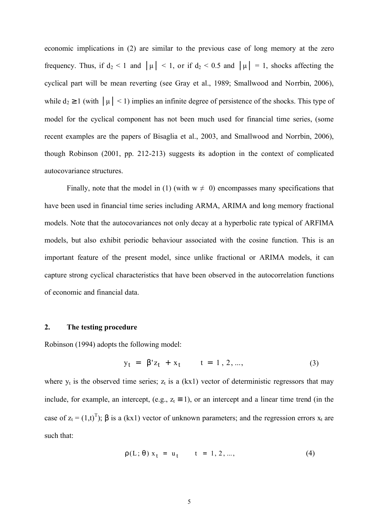economic implications in (2) are similar to the previous case of long memory at the zero frequency. Thus, if  $d_2 < 1$  and  $|\mu| < 1$ , or if  $d_2 < 0.5$  and  $|\mu| = 1$ , shocks affecting the cyclical part will be mean reverting (see Gray et al., 1989; Smallwood and Norrbin, 2006), while  $d_2 \ge 1$  (with  $|\mu| < 1$ ) implies an infinite degree of persistence of the shocks. This type of model for the cyclical component has not been much used for financial time series, (some recent examples are the papers of Bisaglia et al., 2003, and Smallwood and Norrbin, 2006), though Robinson (2001, pp. 212-213) suggests its adoption in the context of complicated autocovariance structures.

Finally, note that the model in (1) (with  $w \neq 0$ ) encompasses many specifications that have been used in financial time series including ARMA, ARIMA and long memory fractional models. Note that the autocovariances not only decay at a hyperbolic rate typical of ARFIMA models, but also exhibit periodic behaviour associated with the cosine function. This is an important feature of the present model, since unlike fractional or ARIMA models, it can capture strong cyclical characteristics that have been observed in the autocorrelation functions of economic and financial data.

#### **2. The testing procedure**

Robinson (1994) adopts the following model:

$$
y_t = \beta' z_t + x_t \qquad t = 1, 2, ..., \tag{3}
$$

where  $y_t$  is the observed time series;  $z_t$  is a (kx1) vector of deterministic regressors that may include, for example, an intercept, (e.g.,  $z_t \equiv 1$ ), or an intercept and a linear time trend (in the case of  $z_t = (1,t)^T$ ;  $\beta$  is a (kx1) vector of unknown parameters; and the regression errors  $x_t$  are such that:

$$
\rho(L; \theta) x_t = u_t \qquad t = 1, 2, \dots,
$$
 (4)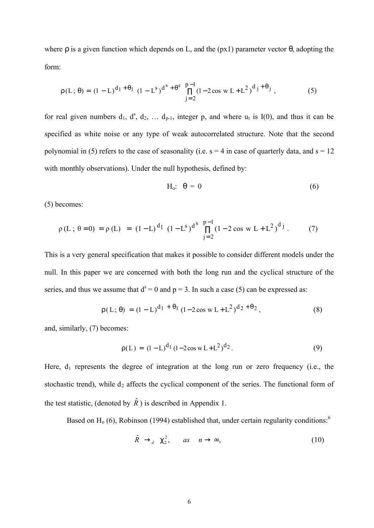where  $\rho$  is a given function which depends on L, and the ( $px1$ ) parameter vector  $\theta$ , adopting the form:

$$
\rho(L; \theta) = (1 - L)^{d_1 + \theta_1} (1 - L^s)^{d^s + \theta^s} \prod_{j=2}^{p-1} (1 - 2\cos w L + L^2)^{d_j + \theta_j},
$$
(5)

for real given numbers  $d_1$ ,  $d^s$ ,  $d_2$ , ...  $d_{p-1}$ , integer p, and where  $u_t$  is I(0), and thus it can be specified as white noise or any type of weak autocorrelated structure. Note that the second polynomial in (5) refers to the case of seasonality (i.e.  $s = 4$  in case of quarterly data, and  $s = 12$ with monthly observations). Under the null hypothesis, defined by:

$$
H_o: \theta = 0 \tag{6}
$$

(5) becomes:

$$
\rho(L; \theta = 0) = \rho(L) = (1 - L)^{d_1} (1 - L^s)^{d^s} \prod_{j=2}^{p-1} (1 - 2 \cos w L + L^2)^{d_j}.
$$
 (7)

This is a very general specification that makes it possible to consider different models under the null. In this paper we are concerned with both the long run and the cyclical structure of the series, and thus we assume that  $d^s = 0$  and  $p = 3$ . In such a case (5) can be expressed as:

$$
\rho(L; \theta) = (1 - L)^{d_1 + \theta_1} (1 - 2\cos w L + L^2)^{d_2 + \theta_2},
$$
\n(8)

and, similarly, (7) becomes:

$$
\rho(L) = (1 - L)^{d_1} (1 - 2\cos w L + L^2)^{d_2}.
$$
\n(9)

Here,  $d_1$  represents the degree of integration at the long run or zero frequency (i.e., the stochastic trend), while  $d_2$  affects the cyclical component of the series. The functional form of the test statistic, (denoted by  $\hat{R}$ ) is described in Appendix 1.

Based on  $H<sub>o</sub>$  (6), Robinson (1994) established that, under certain regularity conditions:<sup>6</sup>

$$
\hat{R} \to_a^2 \mathsf{C}_2^2, \qquad \text{as} \quad n \to \infty,\tag{10}
$$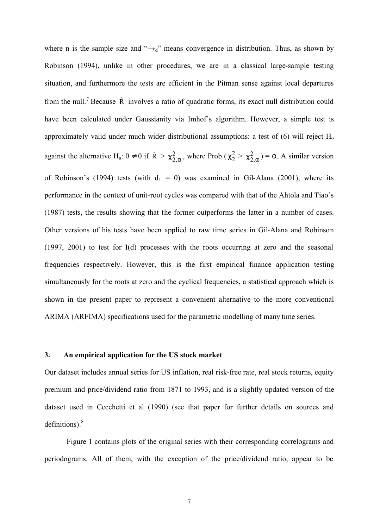where n is the sample size and " $\rightarrow_d$ " means convergence in distribution. Thus, as shown by Robinson (1994), unlike in other procedures, we are in a classical large-sample testing situation, and furthermore the tests are efficient in the Pitman sense against local departures from the null.<sup>7</sup> Because  $\hat{R}$  involves a ratio of quadratic forms, its exact null distribution could have been calculated under Gaussianity via Imhof's algorithm. However, a simple test is approximately valid under much wider distributional assumptions: a test of  $(6)$  will reject  $H_0$ against the alternative H<sub>a</sub>:  $\theta \neq 0$  if  $\hat{R} > \chi^2_{2,\alpha}$ , where Prob  $(\chi^2_{2} > \chi^2_{2,\alpha}) = \alpha$ . A similar version of Robinson's (1994) tests (with  $d_1 = 0$ ) was examined in Gil-Alana (2001), where its performance in the context of unit-root cycles was compared with that of the Ahtola and Tiao's (1987) tests, the results showing that the former outperforms the latter in a number of cases. Other versions of his tests have been applied to raw time series in Gil-Alana and Robinson (1997, 2001) to test for I(d) processes with the roots occurring at zero and the seasonal frequencies respectively. However, this is the first empirical finance application testing simultaneously for the roots at zero and the cyclical frequencies, a statistical approach which is shown in the present paper to represent a convenient alternative to the more conventional ARIMA (ARFIMA) specifications used for the parametric modelling of many time series.

#### **3. An empirical application for the US stock market**

Our dataset includes annual series for US inflation, real risk-free rate, real stock returns, equity premium and price/dividend ratio from 1871 to 1993, and is a slightly updated version of the dataset used in Cecchetti et al (1990) (see that paper for further details on sources and definitions).<sup>8</sup>

Figure 1 contains plots of the original series with their corresponding correlograms and periodograms. All of them, with the exception of the price/dividend ratio, appear to be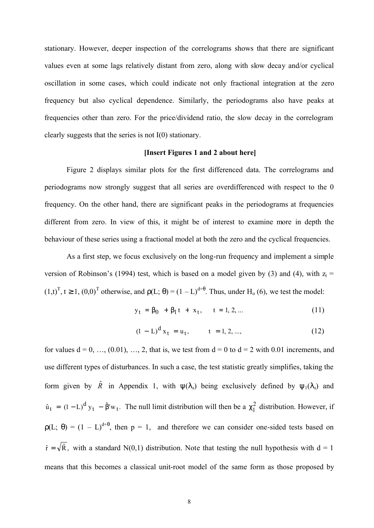stationary. However, deeper inspection of the correlograms shows that there are significant values even at some lags relatively distant from zero, along with slow decay and/or cyclical oscillation in some cases, which could indicate not only fractional integration at the zero frequency but also cyclical dependence. Similarly, the periodograms also have peaks at frequencies other than zero. For the price/dividend ratio, the slow decay in the correlogram clearly suggests that the series is not I(0) stationary.

# **[Insert Figures 1 and 2 about here]**

Figure 2 displays similar plots for the first differenced data. The correlograms and periodograms now strongly suggest that all series are overdifferenced with respect to the 0 frequency. On the other hand, there are significant peaks in the periodograms at frequencies different from zero. In view of this, it might be of interest to examine more in depth the behaviour of these series using a fractional model at both the zero and the cyclical frequencies.

As a first step, we focus exclusively on the long-run frequency and implement a simple version of Robinson's (1994) test, which is based on a model given by (3) and (4), with  $z_t$  =  $(1,t)^T$ ,  $t \ge 1$ ,  $(0,0)^T$  otherwise, and  $\rho(L; \theta) = (1 - L)^{d+\theta}$ . Thus, under H<sub>o</sub> (6), we test the model:

$$
y_t = \beta_0 + \beta_1 t + x_t, \quad t = 1, 2, ... \tag{11}
$$

$$
(1 - L)^{d} x_{t} = u_{t}, \qquad t = 1, 2, ..., \qquad (12)
$$

for values  $d = 0, ..., (0.01), ..., 2$ , that is, we test from  $d = 0$  to  $d = 2$  with 0.01 increments, and use different types of disturbances. In such a case, the test statistic greatly simplifies, taking the form given by  $\hat{R}$  in Appendix 1, with  $\psi(\lambda_s)$  being exclusively defined by  $\psi_1(\lambda_s)$  and  $\hat{u}_t = (1 - L)^d y_t - \hat{\beta}' w_t$ . The null limit distribution will then be a  $\chi_1^2$  distribution. However, if  $\rho(L; \theta) = (1 - L)^{d+\theta}$ , then  $p = 1$ , and therefore we can consider one-sided tests based on  $\hat{r} = \sqrt{\hat{R}}$ , with a standard N(0,1) distribution. Note that testing the null hypothesis with  $d = 1$ means that this becomes a classical unit-root model of the same form as those proposed by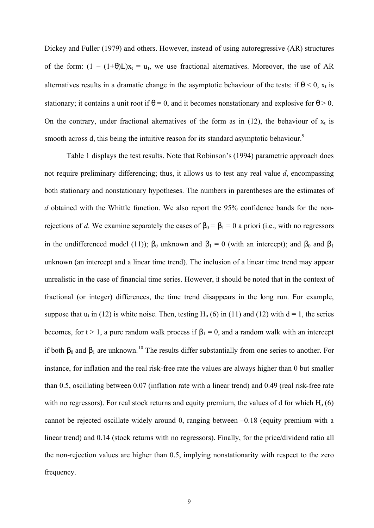Dickey and Fuller (1979) and others. However, instead of using autoregressive (AR) structures of the form:  $(1 - (1+\theta)L)x_t = u_t$ , we use fractional alternatives. Moreover, the use of AR alternatives results in a dramatic change in the asymptotic behaviour of the tests: if  $\theta$  < 0,  $x_t$  is stationary; it contains a unit root if  $\theta = 0$ , and it becomes nonstationary and explosive for  $\theta > 0$ . On the contrary, under fractional alternatives of the form as in  $(12)$ , the behaviour of  $x_t$  is smooth across d, this being the intuitive reason for its standard asymptotic behaviour.<sup>9</sup>

Table 1 displays the test results. Note that Robinson's (1994) parametric approach does not require preliminary differencing; thus, it allows us to test any real value *d*, encompassing both stationary and nonstationary hypotheses. The numbers in parentheses are the estimates of *d* obtained with the Whittle function. We also report the 95% confidence bands for the nonrejections of *d*. We examine separately the cases of  $\beta_0 = \beta_1 = 0$  a priori (i.e., with no regressors in the undifferenced model (11));  $\beta_0$  unknown and  $\beta_1 = 0$  (with an intercept); and  $\beta_0$  and  $\beta_1$ unknown (an intercept and a linear time trend). The inclusion of a linear time trend may appear unrealistic in the case of financial time series. However, it should be noted that in the context of fractional (or integer) differences, the time trend disappears in the long run. For example, suppose that  $u_t$  in (12) is white noise. Then, testing H<sub>o</sub> (6) in (11) and (12) with  $d = 1$ , the series becomes, for t > 1, a pure random walk process if  $\beta_1 = 0$ , and a random walk with an intercept if both  $β_0$  and  $β_1$  are unknown.<sup>10</sup> The results differ substantially from one series to another. For instance, for inflation and the real risk-free rate the values are always higher than 0 but smaller than 0.5, oscillating between 0.07 (inflation rate with a linear trend) and 0.49 (real risk-free rate with no regressors). For real stock returns and equity premium, the values of d for which  $H_0(6)$ cannot be rejected oscillate widely around 0, ranging between –0.18 (equity premium with a linear trend) and 0.14 (stock returns with no regressors). Finally, for the price/dividend ratio all the non-rejection values are higher than 0.5, implying nonstationarity with respect to the zero frequency.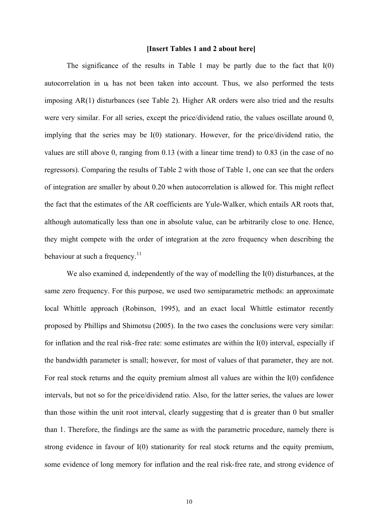## **[Insert Tables 1 and 2 about here]**

The significance of the results in Table 1 may be partly due to the fact that  $I(0)$ autocorrelation in  $u_t$  has not been taken into account. Thus, we also performed the tests imposing AR(1) disturbances (see Table 2). Higher AR orders were also tried and the results were very similar. For all series, except the price/dividend ratio, the values oscillate around 0, implying that the series may be I(0) stationary. However, for the price/dividend ratio, the values are still above 0, ranging from 0.13 (with a linear time trend) to 0.83 (in the case of no regressors). Comparing the results of Table 2 with those of Table 1, one can see that the orders of integration are smaller by about 0.20 when autocorrelation is allowed for. This might reflect the fact that the estimates of the AR coefficients are Yule-Walker, which entails AR roots that, although automatically less than one in absolute value, can be arbitrarily close to one. Hence, they might compete with the order of integration at the zero frequency when describing the behaviour at such a frequency. $11$ 

We also examined d, independently of the way of modelling the  $I(0)$  disturbances, at the same zero frequency. For this purpose, we used two semiparametric methods: an approximate local Whittle approach (Robinson, 1995), and an exact local Whittle estimator recently proposed by Phillips and Shimotsu (2005). In the two cases the conclusions were very similar: for inflation and the real risk-free rate: some estimates are within the I(0) interval, especially if the bandwidth parameter is small; however, for most of values of that parameter, they are not. For real stock returns and the equity premium almost all values are within the I(0) confidence intervals, but not so for the price/dividend ratio. Also, for the latter series, the values are lower than those within the unit root interval, clearly suggesting that d is greater than 0 but smaller than 1. Therefore, the findings are the same as with the parametric procedure, namely there is strong evidence in favour of I(0) stationarity for real stock returns and the equity premium, some evidence of long memory for inflation and the real risk-free rate, and strong evidence of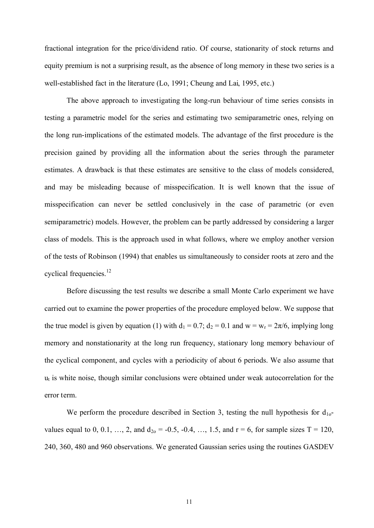fractional integration for the price/dividend ratio. Of course, stationarity of stock returns and equity premium is not a surprising result, as the absence of long memory in these two series is a well-established fact in the literature (Lo, 1991; Cheung and Lai, 1995, etc.)

The above approach to investigating the long-run behaviour of time series consists in testing a parametric model for the series and estimating two semiparametric ones, relying on the long run-implications of the estimated models. The advantage of the first procedure is the precision gained by providing all the information about the series through the parameter estimates. A drawback is that these estimates are sensitive to the class of models considered, and may be misleading because of misspecification. It is well known that the issue of misspecification can never be settled conclusively in the case of parametric (or even semiparametric) models. However, the problem can be partly addressed by considering a larger class of models. This is the approach used in what follows, where we employ another version of the tests of Robinson (1994) that enables us simultaneously to consider roots at zero and the cyclical frequencies.<sup>12</sup>

Before discussing the test results we describe a small Monte Carlo experiment we have carried out to examine the power properties of the procedure employed below. We suppose that the true model is given by equation (1) with  $d_1 = 0.7$ ;  $d_2 = 0.1$  and  $w = w_r = 2\pi/6$ , implying long memory and nonstationarity at the long run frequency, stationary long memory behaviour of the cyclical component, and cycles with a periodicity of about 6 periods. We also assume that  $u_t$  is white noise, though similar conclusions were obtained under weak autocorrelation for the error term.

We perform the procedure described in Section 3, testing the null hypothesis for  $d_{10}$ values equal to 0, 0.1, …, 2, and  $d_{20} = -0.5, -0.4, ..., 1.5,$  and  $r = 6$ , for sample sizes T = 120, 240, 360, 480 and 960 observations. We generated Gaussian series using the routines GASDEV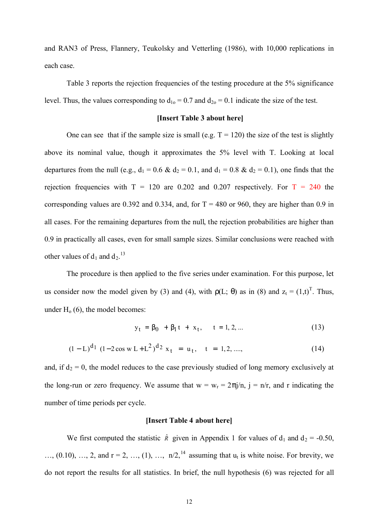and RAN3 of Press, Flannery, Teukolsky and Vetterling (1986), with 10,000 replications in each case.

Table 3 reports the rejection frequencies of the testing procedure at the 5% significance level. Thus, the values corresponding to  $d_{10} = 0.7$  and  $d_{20} = 0.1$  indicate the size of the test.

#### **[Insert Table 3 about here]**

One can see that if the sample size is small (e.g.  $T = 120$ ) the size of the test is slightly above its nominal value, though it approximates the 5% level with T. Looking at local departures from the null (e.g.,  $d_1 = 0.6 \& d_2 = 0.1$ , and  $d_1 = 0.8 \& d_2 = 0.1$ ), one finds that the rejection frequencies with  $T = 120$  are 0.202 and 0.207 respectively. For  $T = 240$  the corresponding values are 0.392 and 0.334, and, for  $T = 480$  or 960, they are higher than 0.9 in all cases. For the remaining departures from the null, the rejection probabilities are higher than 0.9 in practically all cases, even for small sample sizes. Similar conclusions were reached with other values of  $d_1$  and  $d_2$ .<sup>13</sup>

The procedure is then applied to the five series under examination. For this purpose, let us consider now the model given by (3) and (4), with  $\rho(L; \theta)$  as in (8) and  $z_t = (1,t)^T$ . Thus, under  $H<sub>o</sub>$  (6), the model becomes:

$$
y_t = \beta_0 + \beta_1 t + x_t, \quad t = 1, 2, ... \tag{13}
$$

$$
(1 - L)^{d_1} (1 - 2\cos w L + L^2)^{d_2} x_t = u_t, \quad t = 1, 2, \dots,
$$
 (14)

and, if  $d_2 = 0$ , the model reduces to the case previously studied of long memory exclusively at the long-run or zero frequency. We assume that  $w = w_r = 2\pi j/n$ ,  $j = n/r$ , and r indicating the number of time periods per cycle.

#### **[Insert Table 4 about here]**

We first computed the statistic  $\hat{R}$  given in Appendix 1 for values of  $d_1$  and  $d_2$  = -0.50,  $..., (0.10), ..., 2,$  and  $r = 2, ..., (1), ..., n/2$ ,<sup>14</sup> assuming that  $u_t$  is white noise. For brevity, we do not report the results for all statistics. In brief, the null hypothesis (6) was rejected for all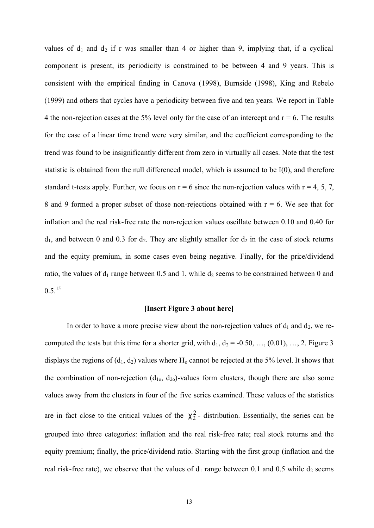values of  $d_1$  and  $d_2$  if r was smaller than 4 or higher than 9, implying that, if a cyclical component is present, its periodicity is constrained to be between 4 and 9 years. This is consistent with the empirical finding in Canova (1998), Burnside (1998), King and Rebelo (1999) and others that cycles have a periodicity between five and ten years. We report in Table 4 the non-rejection cases at the 5% level only for the case of an intercept and  $r = 6$ . The results for the case of a linear time trend were very similar, and the coefficient corresponding to the trend was found to be insignificantly different from zero in virtually all cases. Note that the test statistic is obtained from the null differenced model, which is assumed to be I(0), and therefore standard t-tests apply. Further, we focus on  $r = 6$  since the non-rejection values with  $r = 4, 5, 7$ , 8 and 9 formed a proper subset of those non-rejections obtained with  $r = 6$ . We see that for inflation and the real risk-free rate the non-rejection values oscillate between 0.10 and 0.40 for  $d_1$ , and between 0 and 0.3 for  $d_2$ . They are slightly smaller for  $d_2$  in the case of stock returns and the equity premium, in some cases even being negative. Finally, for the price/dividend ratio, the values of  $d_1$  range between 0.5 and 1, while  $d_2$  seems to be constrained between 0 and  $0.5.$ <sup>15</sup>

#### **[Insert Figure 3 about here]**

In order to have a more precise view about the non-rejection values of  $d_1$  and  $d_2$ , we recomputed the tests but this time for a shorter grid, with  $d_1$ ,  $d_2$  = -0.50, …, (0.01), …, 2. Figure 3 displays the regions of  $(d_1, d_2)$  values where  $H_0$  cannot be rejected at the 5% level. It shows that the combination of non-rejection  $(d_{10}, d_{20})$ -values form clusters, though there are also some values away from the clusters in four of the five series examined. These values of the statistics are in fact close to the critical values of the  $c_2^2$ - distribution. Essentially, the series can be grouped into three categories: inflation and the real risk-free rate; real stock returns and the equity premium; finally, the price/dividend ratio. Starting with the first group (inflation and the real risk-free rate), we observe that the values of  $d_1$  range between 0.1 and 0.5 while  $d_2$  seems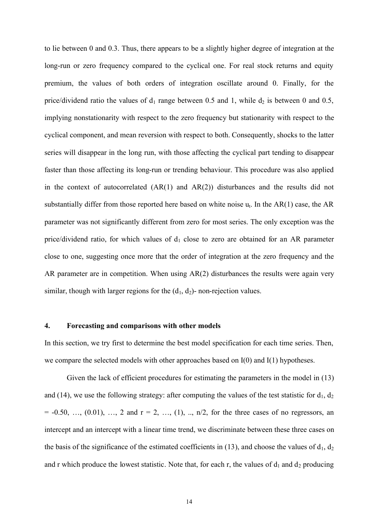to lie between 0 and 0.3. Thus, there appears to be a slightly higher degree of integration at the long-run or zero frequency compared to the cyclical one. For real stock returns and equity premium, the values of both orders of integration oscillate around 0. Finally, for the price/dividend ratio the values of  $d_1$  range between 0.5 and 1, while  $d_2$  is between 0 and 0.5, implying nonstationarity with respect to the zero frequency but stationarity with respect to the cyclical component, and mean reversion with respect to both. Consequently, shocks to the latter series will disappear in the long run, with those affecting the cyclical part tending to disappear faster than those affecting its long-run or trending behaviour. This procedure was also applied in the context of autocorrelated (AR(1) and AR(2)) disturbances and the results did not substantially differ from those reported here based on white noise  $u_t$ . In the AR(1) case, the AR parameter was not significantly different from zero for most series. The only exception was the price/dividend ratio, for which values of  $d_1$  close to zero are obtained for an AR parameter close to one, suggesting once more that the order of integration at the zero frequency and the AR parameter are in competition. When using AR(2) disturbances the results were again very similar, though with larger regions for the  $(d_1, d_2)$ - non-rejection values.

### **4. Forecasting and comparisons with other models**

In this section, we try first to determine the best model specification for each time series. Then, we compare the selected models with other approaches based on  $I(0)$  and  $I(1)$  hypotheses.

Given the lack of efficient procedures for estimating the parameters in the model in (13) and (14), we use the following strategy: after computing the values of the test statistic for  $d_1$ ,  $d_2$  $= -0.50, ..., (0.01), ..., 2$  and  $r = 2, ..., (1), ..., n/2$ , for the three cases of no regressors, an intercept and an intercept with a linear time trend, we discriminate between these three cases on the basis of the significance of the estimated coefficients in (13), and choose the values of  $d_1$ ,  $d_2$ and r which produce the lowest statistic. Note that, for each r, the values of  $d_1$  and  $d_2$  producing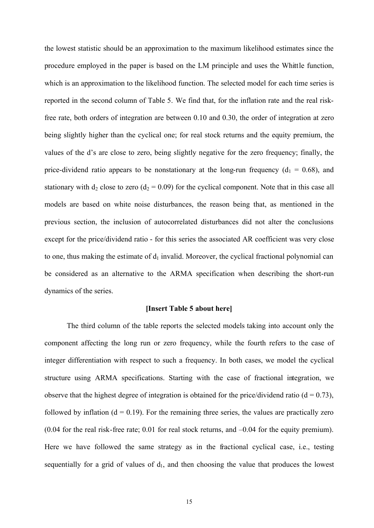the lowest statistic should be an approximation to the maximum likelihood estimates since the procedure employed in the paper is based on the LM principle and uses the Whittle function, which is an approximation to the likelihood function. The selected model for each time series is reported in the second column of Table 5. We find that, for the inflation rate and the real riskfree rate, both orders of integration are between 0.10 and 0.30, the order of integration at zero being slightly higher than the cyclical one; for real stock returns and the equity premium, the values of the d's are close to zero, being slightly negative for the zero frequency; finally, the price-dividend ratio appears to be nonstationary at the long-run frequency ( $d_1 = 0.68$ ), and stationary with  $d_2$  close to zero ( $d_2 = 0.09$ ) for the cyclical component. Note that in this case all models are based on white noise disturbances, the reason being that, as mentioned in the previous section, the inclusion of autocorrelated disturbances did not alter the conclusions except for the price/dividend ratio - for this series the associated AR coefficient was very close to one, thus making the estimate of  $d_1$  invalid. Moreover, the cyclical fractional polynomial can be considered as an alternative to the ARMA specification when describing the short-run dynamics of the series.

# **[Insert Table 5 about here]**

The third column of the table reports the selected models taking into account only the component affecting the long run or zero frequency, while the fourth refers to the case of integer differentiation with respect to such a frequency. In both cases, we model the cyclical structure using ARMA specifications. Starting with the case of fractional integration, we observe that the highest degree of integration is obtained for the price/dividend ratio ( $d = 0.73$ ), followed by inflation  $(d = 0.19)$ . For the remaining three series, the values are practically zero (0.04 for the real risk-free rate; 0.01 for real stock returns, and –0.04 for the equity premium). Here we have followed the same strategy as in the fractional cyclical case, i.e., testing sequentially for a grid of values of  $d_1$ , and then choosing the value that produces the lowest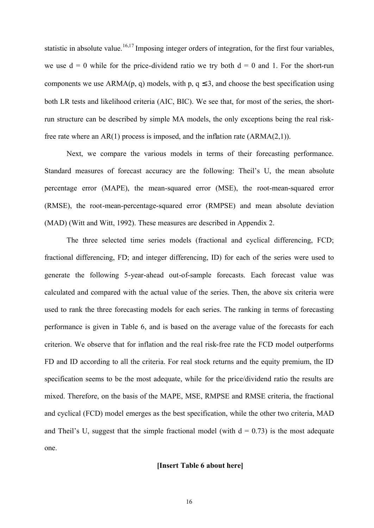statistic in absolute value.<sup>16,17</sup> Imposing integer orders of integration, for the first four variables, we use  $d = 0$  while for the price-dividend ratio we try both  $d = 0$  and 1. For the short-run components we use  $ARMA(p, q)$  models, with p,  $q \leq 3$ , and choose the best specification using both LR tests and likelihood criteria (AIC, BIC). We see that, for most of the series, the shortrun structure can be described by simple MA models, the only exceptions being the real riskfree rate where an AR(1) process is imposed, and the inflation rate (ARMA(2,1)).

Next, we compare the various models in terms of their forecasting performance. Standard measures of forecast accuracy are the following: Theil's U, the mean absolute percentage error (MAPE), the mean-squared error (MSE), the root-mean-squared error (RMSE), the root-mean-percentage-squared error (RMPSE) and mean absolute deviation (MAD) (Witt and Witt, 1992). These measures are described in Appendix 2.

The three selected time series models (fractional and cyclical differencing, FCD; fractional differencing, FD; and integer differencing, ID) for each of the series were used to generate the following 5-year-ahead out-of-sample forecasts. Each forecast value was calculated and compared with the actual value of the series. Then, the above six criteria were used to rank the three forecasting models for each series. The ranking in terms of forecasting performance is given in Table 6, and is based on the average value of the forecasts for each criterion. We observe that for inflation and the real risk-free rate the FCD model outperforms FD and ID according to all the criteria. For real stock returns and the equity premium, the ID specification seems to be the most adequate, while for the price/dividend ratio the results are mixed. Therefore, on the basis of the MAPE, MSE, RMPSE and RMSE criteria, the fractional and cyclical (FCD) model emerges as the best specification, while the other two criteria, MAD and Theil's U, suggest that the simple fractional model (with  $d = 0.73$ ) is the most adequate one.

# **[Insert Table 6 about here]**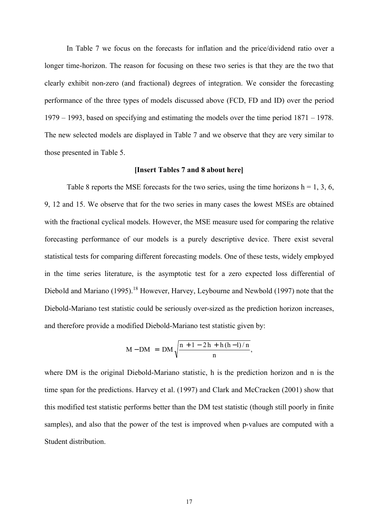In Table 7 we focus on the forecasts for inflation and the price/dividend ratio over a longer time-horizon. The reason for focusing on these two series is that they are the two that clearly exhibit non-zero (and fractional) degrees of integration. We consider the forecasting performance of the three types of models discussed above (FCD, FD and ID) over the period 1979 – 1993, based on specifying and estimating the models over the time period 1871 – 1978. The new selected models are displayed in Table 7 and we observe that they are very similar to those presented in Table 5.

#### **[Insert Tables 7 and 8 about here]**

Table 8 reports the MSE forecasts for the two series, using the time horizons  $h = 1, 3, 6$ , 9, 12 and 15. We observe that for the two series in many cases the lowest MSEs are obtained with the fractional cyclical models. However, the MSE measure used for comparing the relative forecasting performance of our models is a purely descriptive device. There exist several statistical tests for comparing different forecasting models. One of these tests, widely employed in the time series literature, is the asymptotic test for a zero expected loss differential of Diebold and Mariano (1995).<sup>18</sup> However, Harvey, Leybourne and Newbold (1997) note that the Diebold-Mariano test statistic could be seriously over-sized as the prediction horizon increases, and therefore provide a modified Diebold-Mariano test statistic given by:

$$
M - DM = DM \sqrt{\frac{n + 1 - 2h + h(h - 1)/n}{n}},
$$

where DM is the original Diebold-Mariano statistic, h is the prediction horizon and n is the time span for the predictions. Harvey et al. (1997) and Clark and McCracken (2001) show that this modified test statistic performs better than the DM test statistic (though still poorly in finite samples), and also that the power of the test is improved when p-values are computed with a Student distribution.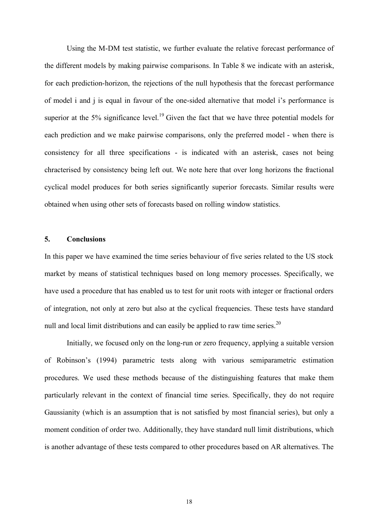Using the M-DM test statistic, we further evaluate the relative forecast performance of the different models by making pairwise comparisons. In Table 8 we indicate with an asterisk, for each prediction-horizon, the rejections of the null hypothesis that the forecast performance of model i and j is equal in favour of the one-sided alternative that model i's performance is superior at the 5% significance level.<sup>19</sup> Given the fact that we have three potential models for each prediction and we make pairwise comparisons, only the preferred model - when there is consistency for all three specifications - is indicated with an asterisk, cases not being chracterised by consistency being left out. We note here that over long horizons the fractional cyclical model produces for both series significantly superior forecasts. Similar results were obtained when using other sets of forecasts based on rolling window statistics.

## **5. Conclusions**

In this paper we have examined the time series behaviour of five series related to the US stock market by means of statistical techniques based on long memory processes. Specifically, we have used a procedure that has enabled us to test for unit roots with integer or fractional orders of integration, not only at zero but also at the cyclical frequencies. These tests have standard null and local limit distributions and can easily be applied to raw time series.<sup>20</sup>

Initially, we focused only on the long-run or zero frequency, applying a suitable version of Robinson's (1994) parametric tests along with various semiparametric estimation procedures. We used these methods because of the distinguishing features that make them particularly relevant in the context of financial time series. Specifically, they do not require Gaussianity (which is an assumption that is not satisfied by most financial series), but only a moment condition of order two. Additionally, they have standard null limit distributions, which is another advantage of these tests compared to other procedures based on AR alternatives. The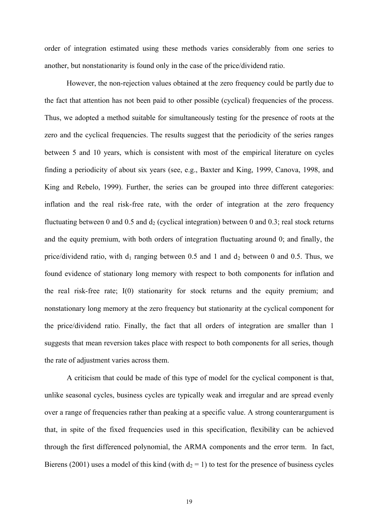order of integration estimated using these methods varies considerably from one series to another, but nonstationarity is found only in the case of the price/dividend ratio.

However, the non-rejection values obtained at the zero frequency could be partly due to the fact that attention has not been paid to other possible (cyclical) frequencies of the process. Thus, we adopted a method suitable for simultaneously testing for the presence of roots at the zero and the cyclical frequencies. The results suggest that the periodicity of the series ranges between 5 and 10 years, which is consistent with most of the empirical literature on cycles finding a periodicity of about six years (see, e.g., Baxter and King, 1999, Canova, 1998, and King and Rebelo, 1999). Further, the series can be grouped into three different categories: inflation and the real risk-free rate, with the order of integration at the zero frequency fluctuating between 0 and 0.5 and  $d_2$  (cyclical integration) between 0 and 0.3; real stock returns and the equity premium, with both orders of integration fluctuating around 0; and finally, the price/dividend ratio, with  $d_1$  ranging between 0.5 and 1 and  $d_2$  between 0 and 0.5. Thus, we found evidence of stationary long memory with respect to both components for inflation and the real risk-free rate; I(0) stationarity for stock returns and the equity premium; and nonstationary long memory at the zero frequency but stationarity at the cyclical component for the price/dividend ratio. Finally, the fact that all orders of integration are smaller than 1 suggests that mean reversion takes place with respect to both components for all series, though the rate of adjustment varies across them.

A criticism that could be made of this type of model for the cyclical component is that, unlike seasonal cycles, business cycles are typically weak and irregular and are spread evenly over a range of frequencies rather than peaking at a specific value. A strong counterargument is that, in spite of the fixed frequencies used in this specification, flexibility can be achieved through the first differenced polynomial, the ARMA components and the error term. In fact, Bierens (2001) uses a model of this kind (with  $d_2 = 1$ ) to test for the presence of business cycles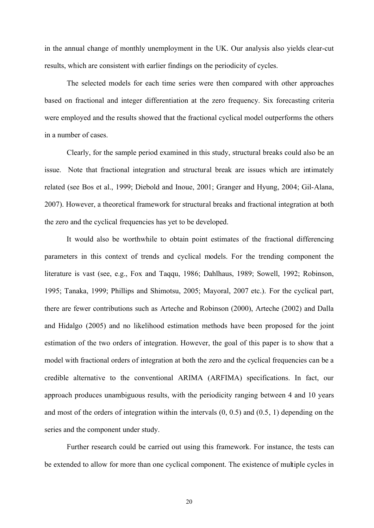in the annual change of monthly unemployment in the UK. Our analysis also yields clear-cut results, which are consistent with earlier findings on the periodicity of cycles.

The selected models for each time series were then compared with other approaches based on fractional and integer differentiation at the zero frequency. Six forecasting criteria were employed and the results showed that the fractional cyclical model outperforms the others in a number of cases.

Clearly, for the sample period examined in this study, structural breaks could also be an issue. Note that fractional integration and structural break are issues which are intimately related (see Bos et al., 1999; Diebold and Inoue, 2001; Granger and Hyung, 2004; Gil-Alana, 2007). However, a theoretical framework for structural breaks and fractional integration at both the zero and the cyclical frequencies has yet to be developed.

It would also be worthwhile to obtain point estimates of the fractional differencing parameters in this context of trends and cyclical models. For the trending component the literature is vast (see, e.g., Fox and Taqqu, 1986; Dahlhaus, 1989; Sowell, 1992; Robinson, 1995; Tanaka, 1999; Phillips and Shimotsu, 2005; Mayoral, 2007 etc.). For the cyclical part, there are fewer contributions such as Arteche and Robinson (2000), Arteche (2002) and Dalla and Hidalgo (2005) and no likelihood estimation methods have been proposed for the joint estimation of the two orders of integration. However, the goal of this paper is to show that a model with fractional orders of integration at both the zero and the cyclical frequencies can be a credible alternative to the conventional ARIMA (ARFIMA) specifications. In fact, our approach produces unambiguous results, with the periodicity ranging between 4 and 10 years and most of the orders of integration within the intervals (0, 0.5) and (0.5, 1) depending on the series and the component under study.

Further research could be carried out using this framework. For instance, the tests can be extended to allow for more than one cyclical component. The existence of multiple cycles in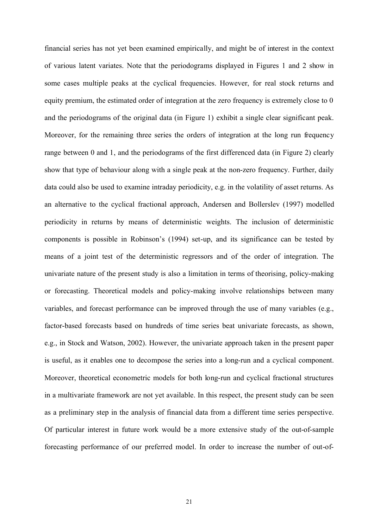financial series has not yet been examined empirically, and might be of interest in the context of various latent variates. Note that the periodograms displayed in Figures 1 and 2 show in some cases multiple peaks at the cyclical frequencies. However, for real stock returns and equity premium, the estimated order of integration at the zero frequency is extremely close to 0 and the periodograms of the original data (in Figure 1) exhibit a single clear significant peak. Moreover, for the remaining three series the orders of integration at the long run frequency range between 0 and 1, and the periodograms of the first differenced data (in Figure 2) clearly show that type of behaviour along with a single peak at the non-zero frequency. Further, daily data could also be used to examine intraday periodicity, e.g. in the volatility of asset returns. As an alternative to the cyclical fractional approach, Andersen and Bollerslev (1997) modelled periodicity in returns by means of deterministic weights. The inclusion of deterministic components is possible in Robinson's (1994) set-up, and its significance can be tested by means of a joint test of the deterministic regressors and of the order of integration. The univariate nature of the present study is also a limitation in terms of theorising, policy-making or forecasting. Theoretical models and policy-making involve relationships between many variables, and forecast performance can be improved through the use of many variables (e.g., factor-based forecasts based on hundreds of time series beat univariate forecasts, as shown, e.g., in Stock and Watson, 2002). However, the univariate approach taken in the present paper is useful, as it enables one to decompose the series into a long-run and a cyclical component. Moreover, theoretical econometric models for both long-run and cyclical fractional structures in a multivariate framework are not yet available. In this respect, the present study can be seen as a preliminary step in the analysis of financial data from a different time series perspective. Of particular interest in future work would be a more extensive study of the out-of-sample forecasting performance of our preferred model. In order to increase the number of out-of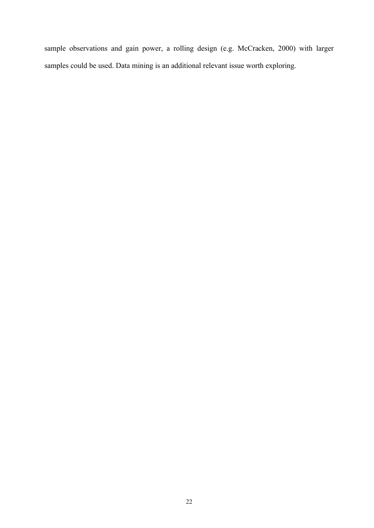sample observations and gain power, a rolling design (e.g. McCracken, 2000) with larger samples could be used. Data mining is an additional relevant issue worth exploring.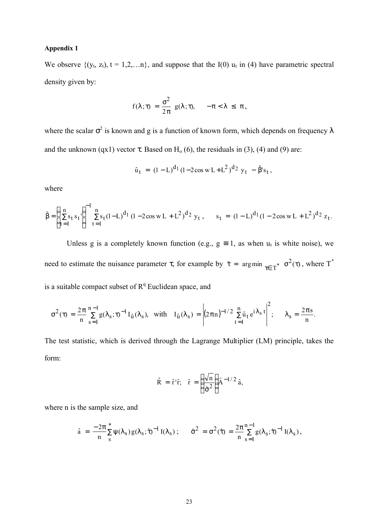## **Appendix 1**

We observe  $\{(y_t, z_t), t = 1, 2, \ldots n\}$ , and suppose that the I(0)  $u_t$  in (4) have parametric spectral density given by:

$$
f(\lambda;\tau) = \frac{\sigma^2}{2\pi} g(\lambda;\tau), \quad -\pi < \lambda \leq \pi,
$$

where the scalar  $\sigma^2$  is known and g is a function of known form, which depends on frequency  $\lambda$ and the unknown (qx1) vector  $\tau$ . Based on H<sub>o</sub> (6), the residuals in (3), (4) and (9) are:

$$
\hat{u}_t = (1 - L)^{d_1} (1 - 2\cos w L + L^2)^{d_2} y_t - \hat{\beta} s_t,
$$

where

$$
\hat{\beta} = \left(\sum_{t=1}^{n} s_t s_t\right)^{-1} \sum_{t=1}^{n} s_t (1-L)^{d_1} (1-2\cos w L + L^2)^{d_2} y_t, \quad s_t = (1-L)^{d_1} (1-2\cos w L + L^2)^{d_2} z_t.
$$

Unless g is a completely known function (e.g.,  $g \equiv 1$ , as when  $u_t$  is white noise), we need to estimate the nuisance parameter  $\tau$ , for example by  $\hat{\tau} = \arg \min_{\tau \in \mathcal{T}^*} \sigma^2(\tau)$  $\hat{\tau} = \arg \min_{\tau \in \Gamma^*} \sigma^2(\tau)$ , where  $T^*$ is a suitable compact subset of  $R<sup>q</sup>$  Euclidean space, and

$$
\sigma^2(\tau)=\frac{2\pi}{n}\sum_{s=1}^{n-1}g(\lambda_s;\tau)^{-1}\,I_{\hat u}(\lambda_s),\ \ \text{with}\ \ \, I_{\hat u}(\lambda_s)=\left|(2\pi n)^{-1/2}\,\sum_{t=1}^n\hat u_t\,e^{i\lambda_s\,t}\right|^2;\quad \ \, \lambda_s=\frac{2\pi s}{n}.
$$

The test statistic, which is derived through the Lagrange Multiplier (LM) principle, takes the form:

$$
\hat{\mathbf{R}} = \hat{\mathbf{r}}^{\dagger} \hat{\mathbf{r}}; \quad \hat{\mathbf{r}} = \left(\frac{\sqrt{\mathbf{n}}}{\hat{\sigma}^2}\right) \hat{\mathbf{A}}^{-1/2} \hat{\mathbf{a}},
$$

where n is the sample size, and

$$
\hat{a} = \frac{-2\pi}{n} \sum_{s}^{*} \psi(\lambda_s) g(\lambda_s; \hat{\tau})^{-1} I(\lambda_s) ; \qquad \hat{\sigma}^2 = \sigma^2(\hat{\tau}) = \frac{2\pi}{n} \sum_{s=1}^{n-1} g(\lambda_s; \hat{\tau})^{-1} I(\lambda_s),
$$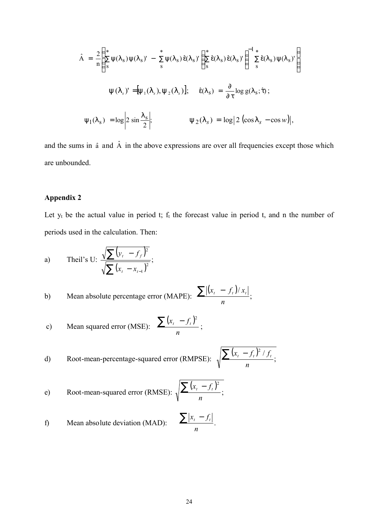$$
\hat{A} = \frac{2}{n} \left( \sum_{s}^{*} \psi(\lambda_{s}) \psi(\lambda_{s})' - \sum_{s}^{*} \psi(\lambda_{s}) \hat{\epsilon}(\lambda_{s})' \left( \sum_{s}^{*} \hat{\epsilon}(\lambda_{s}) \hat{\epsilon}(\lambda_{s})' \right) \right)^{-1} \sum_{s}^{*} \hat{\epsilon}(\lambda_{s}) \psi(\lambda_{s})'
$$
\n
$$
y(l_{s})' = [y_{1}(l_{s}), y_{2}(l_{s})]; \quad \hat{\epsilon}(\lambda_{s}) = \frac{\partial}{\partial \tau} \log g(\lambda_{s}; \hat{\tau});
$$
\n
$$
\psi_{1}(\lambda_{s}) = \log \left| 2 \sin \frac{\lambda_{s}}{2} \right|; \qquad y_{2}(l_{s}) = \log \left| 2 \left( \cos l_{s} - \cos w \right) \right|,
$$

and the sums in  $\hat{a}$  and  $\hat{A}$  in the above expressions are over all frequencies except those which are unbounded.

# **Appendix 2**

Let  $y_t$  be the actual value in period t;  $f_t$  the forecast value in period t, and n the number of periods used in the calculation. Then:

a) Theil's U: 
$$
\frac{\sqrt{\sum (y_t - f_f)^2}}{\sqrt{\sum (x_t - x_{t-1})^2}};
$$

b) Mean absolute percentage error (MAPE): 
$$
\frac{\sum |(x_t - f_t)/x_t|}{n}
$$
;

c) Mean squared error (MSE): 
$$
\frac{\sum (x_t - f_t)^2}{n}
$$
;

d) Root-mean-percentage-squared error (RMPSE): 
$$
\sqrt{\frac{\sum (x_t - f_t)^2 / f_t}{n}};
$$

e) Root-mean-squared error (RMSE): 
$$
\sqrt{\frac{\sum (x_i - f_i)^2}{n}}
$$
;

f) Mean absolute deviation (MAD): 
$$
\frac{\sum |x_i - f_i|}{n}
$$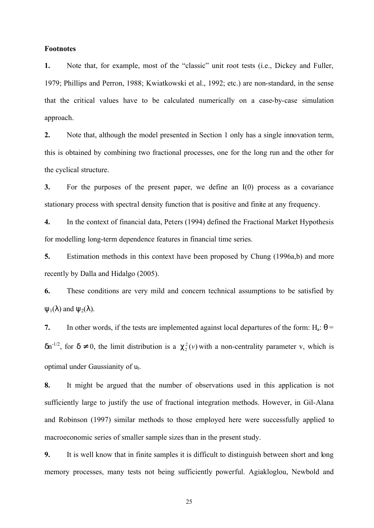## **Footnotes**

**1.** Note that, for example, most of the "classic" unit root tests (i.e., Dickey and Fuller, 1979; Phillips and Perron, 1988; Kwiatkowski et al., 1992; etc.) are non-standard, in the sense that the critical values have to be calculated numerically on a case-by-case simulation approach.

**2.** Note that, although the model presented in Section 1 only has a single innovation term, this is obtained by combining two fractional processes, one for the long run and the other for the cyclical structure.

**3.** For the purposes of the present paper, we define an I(0) process as a covariance stationary process with spectral density function that is positive and finite at any frequency.

**4.** In the context of financial data, Peters (1994) defined the Fractional Market Hypothesis for modelling long-term dependence features in financial time series.

**5.** Estimation methods in this context have been proposed by Chung (1996a,b) and more recently by Dalla and Hidalgo (2005).

**6.** These conditions are very mild and concern technical assumptions to be satisfied by  $\Psi_1(\lambda)$  and  $\Psi_2(\lambda)$ .

**7.** In other words, if the tests are implemented against local departures of the form:  $H_a$ :  $\theta$  =  $\delta n^{-1/2}$ , for  $\delta \neq 0$ , the limit distribution is a  $C_2^2(v)$  with a non-centrality parameter v, which is optimal under Gaussianity of u<sub>t</sub>.

**8.** It might be argued that the number of observations used in this application is not sufficiently large to justify the use of fractional integration methods. However, in Gil-Alana and Robinson (1997) similar methods to those employed here were successfully applied to macroeconomic series of smaller sample sizes than in the present study.

**9.** It is well know that in finite samples it is difficult to distinguish between short and long memory processes, many tests not being sufficiently powerful. Agiakloglou, Newbold and

25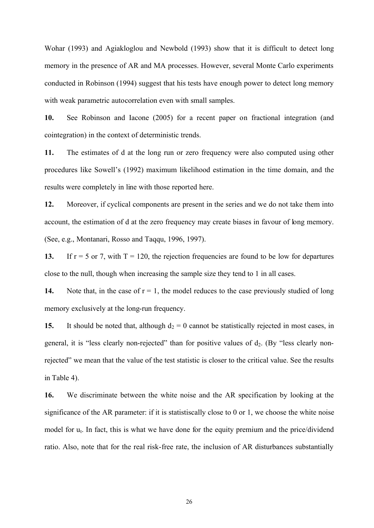Wohar (1993) and Agiakloglou and Newbold (1993) show that it is difficult to detect long memory in the presence of AR and MA processes. However, several Monte Carlo experiments conducted in Robinson (1994) suggest that his tests have enough power to detect long memory with weak parametric autocorrelation even with small samples.

**10.** See Robinson and Iacone (2005) for a recent paper on fractional integration (and cointegration) in the context of deterministic trends.

**11.** The estimates of d at the long run or zero frequency were also computed using other procedures like Sowell's (1992) maximum likelihood estimation in the time domain, and the results were completely in line with those reported here.

**12.** Moreover, if cyclical components are present in the series and we do not take them into account, the estimation of d at the zero frequency may create biases in favour of long memory. (See, e.g., Montanari, Rosso and Taqqu, 1996, 1997).

13. If  $r = 5$  or 7, with  $T = 120$ , the rejection frequencies are found to be low for departures close to the null, though when increasing the sample size they tend to 1 in all cases.

**14.** Note that, in the case of  $r = 1$ , the model reduces to the case previously studied of long memory exclusively at the long-run frequency.

**15.** It should be noted that, although  $d_2 = 0$  cannot be statistically rejected in most cases, in general, it is "less clearly non-rejected" than for positive values of  $d_2$ . (By "less clearly nonrejected" we mean that the value of the test statistic is closer to the critical value. See the results in Table 4).

**16.** We discriminate between the white noise and the AR specification by looking at the significance of the AR parameter: if it is statistiscally close to 0 or 1, we choose the white noise model for  $u_t$ . In fact, this is what we have done for the equity premium and the price/dividend ratio. Also, note that for the real risk-free rate, the inclusion of AR disturbances substantially

26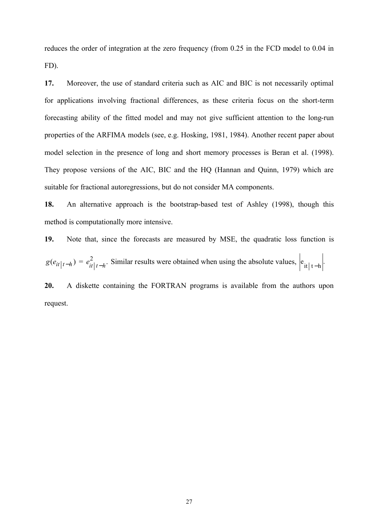reduces the order of integration at the zero frequency (from 0.25 in the FCD model to 0.04 in FD).

**17.** Moreover, the use of standard criteria such as AIC and BIC is not necessarily optimal for applications involving fractional differences, as these criteria focus on the short-term forecasting ability of the fitted model and may not give sufficient attention to the long-run properties of the ARFIMA models (see, e.g. Hosking, 1981, 1984). Another recent paper about model selection in the presence of long and short memory processes is Beran et al. (1998). They propose versions of the AIC, BIC and the HQ (Hannan and Quinn, 1979) which are suitable for fractional autoregressions, but do not consider MA components.

**18.** An alternative approach is the bootstrap-based test of Ashley (1998), though this method is computationally more intensive.

**19.** Note that, since the forecasts are measured by MSE, the quadratic loss function is

 $g(e_{it}|_{t-h}) = e_{it}|_{t-h}.$  $e_{it|t-h}^2$ . Similar results were obtained when using the absolute values,  $|e_{it|t-h}|$ .

**20.** A diskette containing the FORTRAN programs is available from the authors upon request.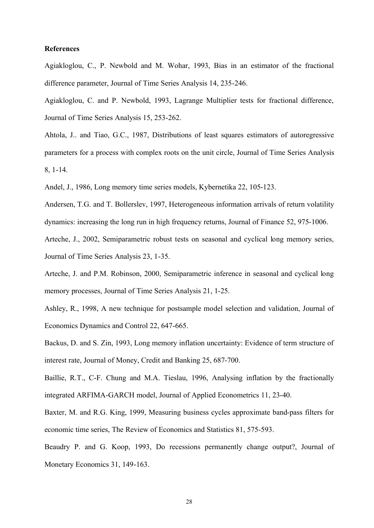# **References**

Agiakloglou, C., P. Newbold and M. Wohar, 1993, Bias in an estimator of the fractional difference parameter, Journal of Time Series Analysis 14, 235-246.

Agiakloglou, C. and P. Newbold, 1993, Lagrange Multiplier tests for fractional difference, Journal of Time Series Analysis 15, 253-262.

Ahtola, J.. and Tiao, G.C., 1987, Distributions of least squares estimators of autoregressive parameters for a process with complex roots on the unit circle, Journal of Time Series Analysis 8, 1-14.

Andel, J., 1986, Long memory time series models, Kybernetika 22, 105-123.

Andersen, T.G. and T. Bollerslev, 1997, Heterogeneous information arrivals of return volatility dynamics: increasing the long run in high frequency returns, Journal of Finance 52, 975-1006.

Arteche, J., 2002, Semiparametric robust tests on seasonal and cyclical long memory series, Journal of Time Series Analysis 23, 1-35.

Arteche, J. and P.M. Robinson, 2000, Semiparametric inference in seasonal and cyclical long memory processes, Journal of Time Series Analysis 21, 1-25.

Ashley, R., 1998, A new technique for postsample model selection and validation, Journal of Economics Dynamics and Control 22, 647-665.

Backus, D. and S. Zin, 1993, Long memory inflation uncertainty: Evidence of term structure of interest rate, Journal of Money, Credit and Banking 25, 687-700.

Baillie, R.T., C-F. Chung and M.A. Tieslau, 1996, Analysing inflation by the fractionally integrated ARFIMA-GARCH model, Journal of Applied Econometrics 11, 23-40.

Baxter, M. and R.G. King, 1999, Measuring business cycles approximate band-pass filters for economic time series, The Review of Economics and Statistics 81, 575-593.

Beaudry P. and G. Koop, 1993, Do recessions permanently change output?, Journal of Monetary Economics 31, 149-163.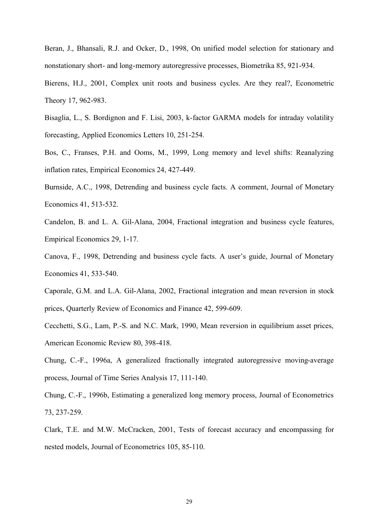Beran, J., Bhansali, R.J. and Ocker, D., 1998, On unified model selection for stationary and nonstationary short- and long-memory autoregressive processes, Biometrika 85, 921-934.

Bierens, H.J., 2001, Complex unit roots and business cycles. Are they real?, Econometric Theory 17, 962-983.

Bisaglia, L., S. Bordignon and F. Lisi, 2003, k-factor GARMA models for intraday volatility forecasting, Applied Economics Letters 10, 251-254.

Bos, C., Franses, P.H. and Ooms, M., 1999, Long memory and level shifts: Reanalyzing inflation rates, Empirical Economics 24, 427-449.

Burnside, A.C., 1998, Detrending and business cycle facts. A comment, Journal of Monetary Economics 41, 513-532.

Candelon, B. and L. A. Gil-Alana, 2004, Fractional integration and business cycle features, Empirical Economics 29, 1-17.

Canova, F., 1998, Detrending and business cycle facts. A user's guide, Journal of Monetary Economics 41, 533-540.

Caporale, G.M. and L.A. Gil-Alana, 2002, Fractional integration and mean reversion in stock prices, Quarterly Review of Economics and Finance 42, 599-609.

Cecchetti, S.G., Lam, P.-S. and N.C. Mark, 1990, Mean reversion in equilibrium asset prices, American Economic Review 80, 398-418.

Chung, C.-F., 1996a, A generalized fractionally integrated autoregressive moving-average process, Journal of Time Series Analysis 17, 111-140.

Chung, C.-F., 1996b, Estimating a generalized long memory process, Journal of Econometrics 73, 237-259.

Clark, T.E. and M.W. McCracken, 2001, Tests of forecast accuracy and encompassing for nested models, Journal of Econometrics 105, 85-110.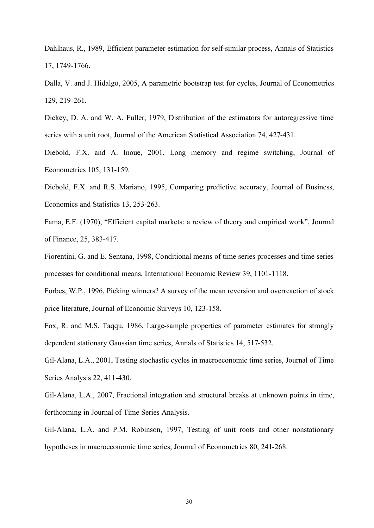Dahlhaus, R., 1989, Efficient parameter estimation for self-similar process, Annals of Statistics 17, 1749-1766.

Dalla, V. and J. Hidalgo, 2005, A parametric bootstrap test for cycles, Journal of Econometrics 129, 219-261.

Dickey, D. A. and W. A. Fuller, 1979, Distribution of the estimators for autoregressive time series with a unit root, Journal of the American Statistical Association 74, 427-431.

Diebold, F.X. and A. Inoue, 2001, Long memory and regime switching, Journal of Econometrics 105, 131-159.

Diebold, F.X. and R.S. Mariano, 1995, Comparing predictive accuracy, Journal of Business, Economics and Statistics 13, 253-263.

Fama, E.F. (1970), "Efficient capital markets: a review of theory and empirical work", Journal of Finance, 25, 383-417.

Fiorentini, G. and E. Sentana, 1998, Conditional means of time series processes and time series processes for conditional means, International Economic Review 39, 1101-1118.

Forbes, W.P., 1996, Picking winners? A survey of the mean reversion and overreaction of stock price literature, Journal of Economic Surveys 10, 123-158.

Fox, R. and M.S. Taqqu, 1986, Large-sample properties of parameter estimates for strongly dependent stationary Gaussian time series, Annals of Statistics 14, 517-532.

Gil-Alana, L.A., 2001, Testing stochastic cycles in macroeconomic time series, Journal of Time Series Analysis 22, 411-430.

Gil-Alana, L.A., 2007, Fractional integration and structural breaks at unknown points in time, forthcoming in Journal of Time Series Analysis.

Gil-Alana, L.A. and P.M. Robinson, 1997, Testing of unit roots and other nonstationary hypotheses in macroeconomic time series, Journal of Econometrics 80, 241-268.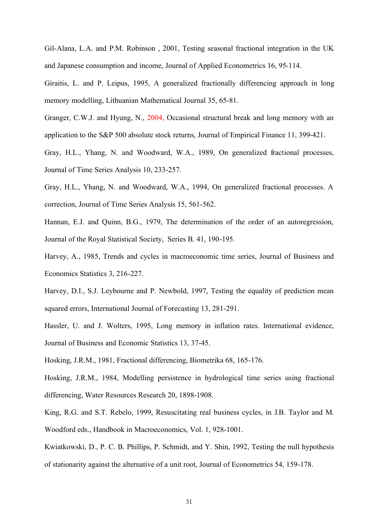Gil-Alana, L.A. and P.M. Robinson , 2001, Testing seasonal fractional integration in the UK and Japanese consumption and income, Journal of Applied Econometrics 16, 95-114.

Giraitis, L. and P. Leipus, 1995, A generalized fractionally differencing approach in long memory modelling, Lithuanian Mathematical Journal 35, 65-81.

Granger, C.W.J. and Hyung, N., 2004, Occasional structural break and long memory with an application to the S&P 500 absolute stock returns, Journal of Empirical Finance 11, 399-421.

Gray, H.L., Yhang, N. and Woodward, W.A., 1989, On generalized fractional processes, Journal of Time Series Analysis 10, 233-257.

Gray, H.L., Yhang, N. and Woodward, W.A., 1994, On generalized fractional processes. A correction, Journal of Time Series Analysis 15, 561-562.

Hannan, E.J. and Quinn, B.G., 1979, The determination of the order of an autoregression, Journal of the Royal Statistical Society, Series B. 41, 190-195.

Harvey, A., 1985, Trends and cycles in macroeconomic time series, Journal of Business and Economics Statistics 3, 216-227.

Harvey, D.I., S.J. Leybourne and P. Newbold, 1997, Testing the equality of prediction mean squared errors, International Journal of Forecasting 13, 281-291.

Hassler, U. and J. Wolters, 1995, Long memory in inflation rates. International evidence, Journal of Business and Economic Statistics 13, 37-45.

Hosking, J.R.M., 1981, Fractional differencing, Biometrika 68, 165-176.

Hosking, J.R.M., 1984, Modelling persistence in hydrological time series using fractional differencing, Water Resources Research 20, 1898-1908.

King, R.G. and S.T. Rebelo, 1999, Resuscitating real business cycles, in J.B. Taylor and M. Woodford eds., Handbook in Macroeconomics, Vol. 1, 928-1001.

Kwiatkowski, D., P. C. B. Phillips, P. Schmidt, and Y. Shin, 1992, Testing the null hypothesis of stationarity against the alternative of a unit root, Journal of Econometrics 54, 159-178.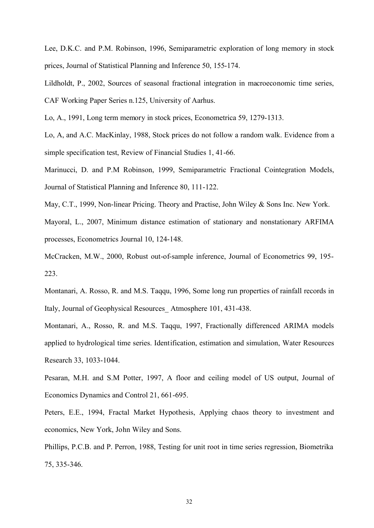Lee, D.K.C. and P.M. Robinson, 1996, Semiparametric exploration of long memory in stock prices, Journal of Statistical Planning and Inference 50, 155-174.

Lildholdt, P., 2002, Sources of seasonal fractional integration in macroeconomic time series, CAF Working Paper Series n.125, University of Aarhus.

Lo, A., 1991, Long term memory in stock prices, Econometrica 59, 1279-1313.

Lo, A, and A.C. MacKinlay, 1988, Stock prices do not follow a random walk. Evidence from a simple specification test, Review of Financial Studies 1, 41-66.

Marinucci, D. and P.M Robinson, 1999, Semiparametric Fractional Cointegration Models, Journal of Statistical Planning and Inference 80, 111-122.

May, C.T., 1999, Non-linear Pricing. Theory and Practise, John Wiley & Sons Inc. New York. Mayoral, L., 2007, Minimum distance estimation of stationary and nonstationary ARFIMA processes, Econometrics Journal 10, 124-148.

McCracken, M.W., 2000, Robust out-of-sample inference, Journal of Econometrics 99, 195- 223.

Montanari, A. Rosso, R. and M.S. Taqqu, 1996, Some long run properties of rainfall records in Italy, Journal of Geophysical Resources\_ Atmosphere 101, 431-438.

Montanari, A., Rosso, R. and M.S. Taqqu, 1997, Fractionally differenced ARIMA models applied to hydrological time series. Identification, estimation and simulation, Water Resources Research 33, 1033-1044.

Pesaran, M.H. and S.M Potter, 1997, A floor and ceiling model of US output, Journal of Economics Dynamics and Control 21, 661-695.

Peters, E.E., 1994, Fractal Market Hypothesis, Applying chaos theory to investment and economics, New York, John Wiley and Sons.

Phillips, P.C.B. and P. Perron, 1988, Testing for unit root in time series regression, Biometrika 75, 335-346.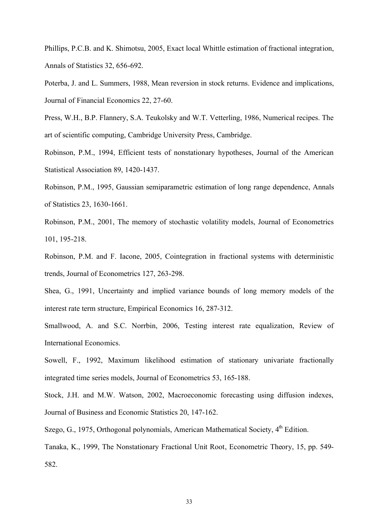Phillips, P.C.B. and K. Shimotsu, 2005, Exact local Whittle estimation of fractional integration, Annals of Statistics 32, 656-692.

Poterba, J. and L. Summers, 1988, Mean reversion in stock returns. Evidence and implications, Journal of Financial Economics 22, 27-60.

Press, W.H., B.P. Flannery, S.A. Teukolsky and W.T. Vetterling, 1986, Numerical recipes. The art of scientific computing, Cambridge University Press, Cambridge.

Robinson, P.M., 1994, Efficient tests of nonstationary hypotheses, Journal of the American Statistical Association 89, 1420-1437.

Robinson, P.M., 1995, Gaussian semiparametric estimation of long range dependence, Annals of Statistics 23, 1630-1661.

Robinson, P.M., 2001, The memory of stochastic volatility models, Journal of Econometrics 101, 195-218.

Robinson, P.M. and F. Iacone, 2005, Cointegration in fractional systems with deterministic trends, Journal of Econometrics 127, 263-298.

Shea, G., 1991, Uncertainty and implied variance bounds of long memory models of the interest rate term structure, Empirical Economics 16, 287-312.

Smallwood, A. and S.C. Norrbin, 2006, Testing interest rate equalization, Review of International Economics.

Sowell, F., 1992, Maximum likelihood estimation of stationary univariate fractionally integrated time series models, Journal of Econometrics 53, 165-188.

Stock, J.H. and M.W. Watson, 2002, Macroeconomic forecasting using diffusion indexes, Journal of Business and Economic Statistics 20, 147-162.

Szego, G., 1975, Orthogonal polynomials, American Mathematical Society,  $4<sup>th</sup>$  Edition.

Tanaka, K., 1999, The Nonstationary Fractional Unit Root, Econometric Theory, 15, pp. 549- 582.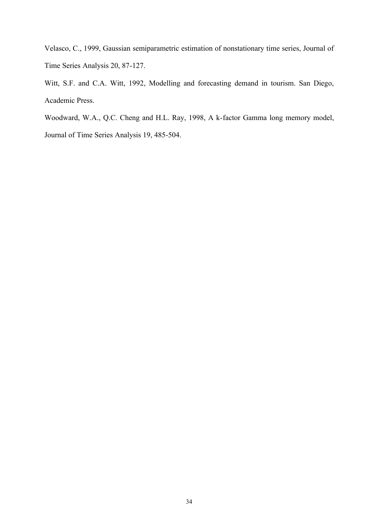Velasco, C., 1999, Gaussian semiparametric estimation of nonstationary time series, Journal of Time Series Analysis 20, 87-127.

Witt, S.F. and C.A. Witt, 1992, Modelling and forecasting demand in tourism. San Diego, Academic Press.

Woodward, W.A., Q.C. Cheng and H.L. Ray, 1998, A k-factor Gamma long memory model, Journal of Time Series Analysis 19, 485-504.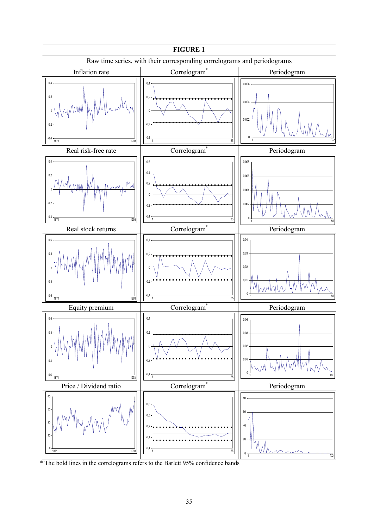

\* The bold lines in the correlograms refers to the Barlett 95% confidence bands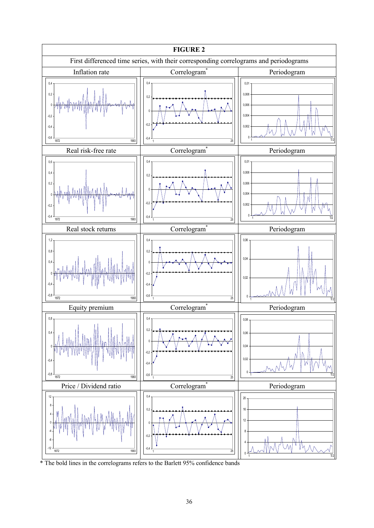

<sup>\*</sup> The bold lines in the correlograms refers to the Barlett 95% confidence bands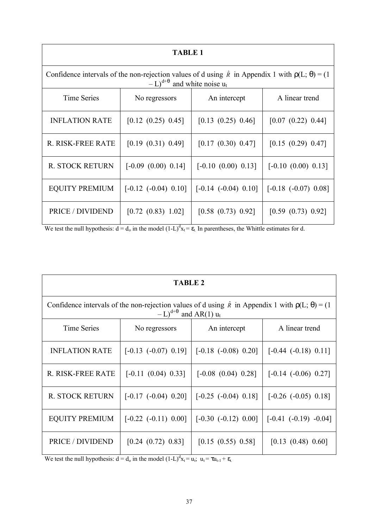| <b>TABLE 1</b>                                                                                                                                                                                |                            |                            |                            |  |  |  |
|-----------------------------------------------------------------------------------------------------------------------------------------------------------------------------------------------|----------------------------|----------------------------|----------------------------|--|--|--|
| Confidence intervals of the non-rejection values of d using $\hat{\bf r}$ in Appendix 1 with $\rho(L; \theta) = (1$<br>$-L$ ) <sup>d+<math>\theta</math></sup> and white noise u <sub>t</sub> |                            |                            |                            |  |  |  |
| <b>Time Series</b>                                                                                                                                                                            | No regressors              | An intercept               | A linear trend             |  |  |  |
| <b>INFLATION RATE</b>                                                                                                                                                                         | [0.12 (0.25) 0.45]         | [0.13 (0.25) 0.46]         | [0.07 (0.22) 0.44]         |  |  |  |
| R. RISK-FREE RATE                                                                                                                                                                             | [0.19 (0.31) 0.49]         | [0.17 (0.30) 0.47]         | [0.15 (0.29) 0.47]         |  |  |  |
| <b>R. STOCK RETURN</b>                                                                                                                                                                        | $[-0.09(0.00) 0.14]$       | $[-0.10 (0.00) 0.13]$      | $[-0.10 (0.00) 0.13]$      |  |  |  |
| <b>EQUITY PREMIUM</b>                                                                                                                                                                         | $[-0.12 \ (-0.04) \ 0.10]$ | $[-0.14 \ (-0.04) \ 0.10]$ | $[-0.18 \ (-0.07) \ 0.08]$ |  |  |  |
| PRICE / DIVIDEND                                                                                                                                                                              | $[0.72 \ (0.83) \ 1.02]$   | [0.58 (0.73) 0.92]         | [0.59 (0.73) 0.92]         |  |  |  |

We test the null hypothesis:  $d = d_0$  in the model  $(1-L)^d x_t = \varepsilon_t$ . In parentheses, the Whittle estimates for d.

| <b>TABLE 2</b>                                                                                                                                                                 |                            |                            |                            |  |  |  |
|--------------------------------------------------------------------------------------------------------------------------------------------------------------------------------|----------------------------|----------------------------|----------------------------|--|--|--|
| Confidence intervals of the non-rejection values of d using $\hat{\bf r}$ in Appendix 1 with $\rho(L; \theta) = (1$<br>$-L$ ) <sup>d+<math>\theta</math></sup> and AR(1) $u_t$ |                            |                            |                            |  |  |  |
| <b>Time Series</b>                                                                                                                                                             | No regressors              | An intercept               | A linear trend             |  |  |  |
| <b>INFLATION RATE</b>                                                                                                                                                          | $[-0.13 \ (-0.07) \ 0.19]$ | $[-0.18 \ (-0.08) \ 0.20]$ | $[-0.44 (-0.18) 0.11]$     |  |  |  |
| R. RISK-FREE RATE                                                                                                                                                              | $[-0.11 (0.04) 0.33]$      | $[-0.08 \ (0.04) \ 0.28]$  | $[-0.14 \ (-0.06) \ 0.27]$ |  |  |  |
| <b>R. STOCK RETURN</b>                                                                                                                                                         | $[-0.17 (-0.04) 0.20]$     | $[-0.25 \ (-0.04) \ 0.18]$ | $[-0.26 (-0.05) 0.18]$     |  |  |  |
| <b>EQUITY PREMIUM</b>                                                                                                                                                          | $[-0.22 (-0.11) 0.00]$     | $[-0.30 (-0.12) 0.00]$     | $[-0.41 (-0.19) -0.04]$    |  |  |  |
| PRICE / DIVIDEND                                                                                                                                                               | [0.24 (0.72) 0.83]         | [0.15 (0.55) 0.58]         | $[0.13 \ (0.48) \ 0.60]$   |  |  |  |

We test the null hypothesis:  $d = d_0$  in the model  $(1-L)^d x_t = u_t$ ;  $u_t = \tau u_{t-1} + \varepsilon_t$ .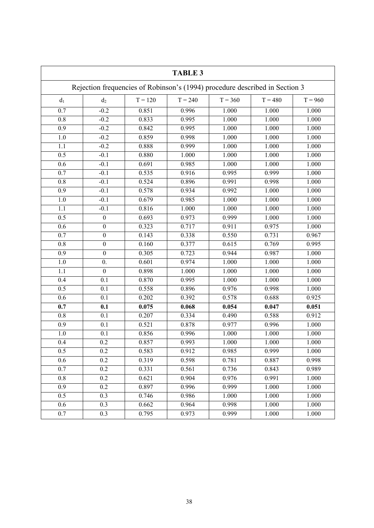| <b>TABLE 3</b>                                                              |                  |           |           |           |           |           |
|-----------------------------------------------------------------------------|------------------|-----------|-----------|-----------|-----------|-----------|
| Rejection frequencies of Robinson's (1994) procedure described in Section 3 |                  |           |           |           |           |           |
| $d_1$                                                                       | d <sub>2</sub>   | $T = 120$ | $T = 240$ | $T = 360$ | $T = 480$ | $T = 960$ |
| $\overline{0.7}$                                                            | $-0.2$           | 0.851     | 0.996     | 1.000     | 1.000     | 1.000     |
| $\overline{0.8}$                                                            | $-0.2$           | 0.833     | 0.995     | 1.000     | 1.000     | 1.000     |
| 0.9                                                                         | $-0.2$           | 0.842     | 0.995     | 1.000     | 1.000     | 1.000     |
| 1.0                                                                         | $-0.2$           | 0.859     | 0.998     | 1.000     | 1.000     | 1.000     |
| 1.1                                                                         | $-0.2$           | 0.888     | 0.999     | 1.000     | 1.000     | 1.000     |
| $\overline{0.5}$                                                            | $-0.1$           | 0.880     | 1.000     | 1.000     | 1.000     | 1.000     |
| 0.6                                                                         | $-0.1$           | 0.691     | 0.985     | 1.000     | 1.000     | 1.000     |
| $\overline{0.7}$                                                            | $-0.1$           | 0.535     | 0.916     | 0.995     | 0.999     | 1.000     |
| 0.8                                                                         | $-0.1$           | 0.524     | 0.896     | 0.991     | 0.998     | 1.000     |
| $\overline{0.9}$                                                            | $-0.1$           | 0.578     | 0.934     | 0.992     | 1.000     | 1.000     |
| $\overline{1.0}$                                                            | $-0.1$           | 0.679     | 0.985     | 1.000     | 1.000     | 1.000     |
| 1.1                                                                         | $-0.1$           | 0.816     | 1.000     | 1.000     | 1.000     | 1.000     |
| 0.5                                                                         | $\boldsymbol{0}$ | 0.693     | 0.973     | 0.999     | 1.000     | 1.000     |
| 0.6                                                                         | $\boldsymbol{0}$ | 0.323     | 0.717     | 0.911     | 0.975     | 1.000     |
| $\overline{0.7}$                                                            | $\boldsymbol{0}$ | 0.143     | 0.338     | 0.550     | 0.731     | 0.967     |
| 0.8                                                                         | $\boldsymbol{0}$ | 0.160     | 0.377     | 0.615     | 0.769     | 0.995     |
| $\overline{0.9}$                                                            | $\overline{0}$   | 0.305     | 0.723     | 0.944     | 0.987     | 1.000     |
| $\overline{1.0}$                                                            | $\overline{0}$ . | 0.601     | 0.974     | 1.000     | 1.000     | 1.000     |
| 1.1                                                                         | $\boldsymbol{0}$ | 0.898     | 1.000     | 1.000     | 1.000     | 1.000     |
| 0.4                                                                         | 0.1              | 0.870     | 0.995     | 1.000     | 1.000     | 1.000     |
| 0.5                                                                         | $\overline{0.1}$ | 0.558     | 0.896     | 0.976     | 0.998     | 1.000     |
| 0.6                                                                         | 0.1              | 0.202     | 0.392     | 0.578     | 0.688     | 0.925     |
| 0.7                                                                         | 0.1              | 0.075     | 0.068     | 0.054     | 0.047     | 0.051     |
| 0.8                                                                         | 0.1              | 0.207     | 0.334     | 0.490     | 0.588     | 0.912     |
| 0.9                                                                         | 0.1              | 0.521     | 0.878     | 0.977     | 0.996     | 1.000     |
| 1.0                                                                         | 0.1              | 0.856     | 0.996     | 1.000     | 1.000     | 1.000     |
| 0.4                                                                         | 0.2              | 0.857     | 0.993     | 1.000     | 1.000     | 1.000     |
| 0.5                                                                         | 0.2              | 0.583     | 0.912     | 0.985     | 0.999     | 1.000     |
| $\overline{0.6}$                                                            | $\overline{0.2}$ | 0.319     | 0.598     | 0.781     | 0.887     | 0.998     |
| 0.7                                                                         | 0.2              | 0.331     | 0.561     | 0.736     | 0.843     | 0.989     |
| 0.8                                                                         | 0.2              | 0.621     | 0.904     | 0.976     | 0.991     | 1.000     |
| 0.9                                                                         | $\overline{0.2}$ | 0.897     | 0.996     | 0.999     | 1.000     | 1.000     |
| 0.5                                                                         | 0.3              | 0.746     | 0.986     | 1.000     | 1.000     | 1.000     |
| 0.6                                                                         | 0.3              | 0.662     | 0.964     | 0.998     | 1.000     | 1.000     |
| $\overline{0.7}$                                                            | $\overline{0.3}$ | 0.795     | 0.973     | 0.999     | 1.000     | 1.000     |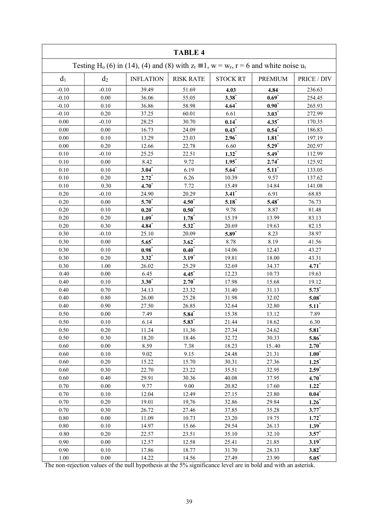| <b>TABLE 4</b>                                                                                                  |          |                  |                  |                     |                     |             |
|-----------------------------------------------------------------------------------------------------------------|----------|------------------|------------------|---------------------|---------------------|-------------|
| Testing H <sub>0</sub> (6) in (14), (4) and (8) with $z_t \equiv 1$ , $w = w_r$ , $r = 6$ and white noise $u_t$ |          |                  |                  |                     |                     |             |
| d <sub>1</sub>                                                                                                  | $d_2$    | <b>INFLATION</b> | <b>RISK RATE</b> | <b>STOCK RT</b>     | <b>PREMIUM</b>      | PRICE / DIV |
| $-0.10$                                                                                                         | $-0.10$  | 39.49            | 51.69            | 4.03                | 4.84                | 236.63      |
| $-0.10$                                                                                                         | 0.00     | 36.06            | 55.05            | $3.38*$             | $0.69*$             | 254.45      |
| $-0.10$                                                                                                         | 0.10     | 36.86            | 58.98            | $4.64*$             | $0.90*$             | 265.93      |
| $-0.10$                                                                                                         | 0.20     | 37.25            | 60.01            | 6.61                | $3.03*$             | 272.99      |
| 0.00                                                                                                            | $-0.10$  | 28.25            | 30.70            | $0.14*$             | $4.35^*$            | 170.35      |
| 0.00                                                                                                            | 0.00     | 16.73            | 24.09            | $0.43*$             | $0.54$ *            | 186.83      |
| $0.00\,$                                                                                                        | 0.10     | 13.29            | 23.03            | $2.96*$             | $1.81$ <sup>*</sup> | 197.19      |
| $0.00\,$                                                                                                        | 0.20     | 12.66            | 22.78            | 6.60                | $5.29*$             | 202.97      |
| 0.10                                                                                                            | $-0.10$  | 25.25            | 22.51            | $1.32^*$            | $5.49*$             | 112.99      |
| 0.10                                                                                                            | 0.00     | 8.42             | 9.72             | $1.95^*$            | $2.74*$             | 125.92      |
| 0.10                                                                                                            | 0.10     | $3.04*$          | 6.19             | $5.64*$             | $5.11*$             | 133.05      |
| 0.10                                                                                                            | 0.20     | $2.72*$          | 6.26             | 10.39               | 9.57                | 137.62      |
| 0.10                                                                                                            | 0.30     | $4.70*$          | 7.72             | 15.49               | 14.84               | 141.08      |
| 0.20                                                                                                            | $-0.10$  | 24.90            | 20.29            | $3.41$ <sup>*</sup> | 6.91                | 68.85       |
| 0.20                                                                                                            | $0.00\,$ | $5.70^{\circ}$   | $4.50^*$         | $5.18*$             | $5.48*$             | 76.73       |
| 0.20                                                                                                            | 0.10     | $0.20^{*}$       | $0.50^*$         | 9.78                | 8.87                | 81.48       |
| 0.20                                                                                                            | 0.20     | $1.09*$          | $1.78^*$         | 15.19               | 13.99               | 83.13       |
| 0.20                                                                                                            | 0.30     | $4.84*$          | $5.32^*$         | 20.69               | 19.63               | 82.15       |
| 0.30                                                                                                            | $-0.10$  | 25.10            | 20.09            | $5.89*$             | 8.23                | 38.97       |
| 0.30                                                                                                            | 0.00     | $5.65*$          | $3.62*$          | 8.78                | 8.19                | 41.56       |
| 0.30                                                                                                            | 0.10     | $0.98^*$         | $0.40^{*}$       | 14.06               | 12.43               | 43.27       |
| 0.30                                                                                                            | $0.20\,$ | $3.32*$          | $3.19*$          | 19.81               | 18.00               | 43.31       |
| 0.30                                                                                                            | 1.00     | 26.02            | 25.29            | 32.69               | 34.37               | $4.71*$     |
| 0.40                                                                                                            | $0.00\,$ | 6.45             | $4.45*$          | 12.23               | 10.73               | 19.63       |
| 0.40                                                                                                            | 0.10     | $3.30^{*}$       | $2.70^*$         | 17.98               | 15.68               | 19.12       |
| 0.40                                                                                                            | 0.70     | 34.13            | 23.32            | 31.40               | 31.13               | $5.73*$     |
| 0.40                                                                                                            | 0.80     | 26.00            | 25.28            | 31.98               | 32.02               | $5.08^*$    |
| 0.40                                                                                                            | 0.90     | 27.50            | 26.85            | 32.64               | 32.80               | $5.11*$     |
| 0.50                                                                                                            | 0.00     | 7.49             | $5.84*$          | 15.38               | 13.12               | 7.89        |
| 0.50                                                                                                            | $0.10\,$ | 6.14             | $5.83*$          | 21.44               | 18.62               | 6.30        |
| 0.50                                                                                                            | 0.20     | 11.24            | 11,36            | 27.34               | 24.62               | $5.81$      |
| 0.50                                                                                                            | 0.30     | 18.20            | 18.46            | 32.72               | 30.33               | $5.86*$     |
| 0.60                                                                                                            | 0.00     | 8.59             | 7.38             | 18.23               | 15.40               | $2.70^*$    |
| 0.60                                                                                                            | 0.10     | 9.02             | 9.15             | 24.48               | 21.31               | $1.00^*$    |
| 0.60                                                                                                            | 0.20     | 15.22            | 15.70            | 30.31               | 27.36               | $1.25^*$    |
| 0.60                                                                                                            | 0.30     | 22.70            | 23.22            | 35.51               | 32.95               | $2.59*$     |
| 0.60                                                                                                            | 0.40     | 29.91            | 30.36            | 40.08               | 37.95               | $4.70*$     |
| 0.70                                                                                                            | 0.00     | 9.77             | 9.00             | 20.82               | 17.60               | $1.22*$     |
| 0.70                                                                                                            | 0.10     | 12.04            | 12.49            | 27.15               | 23.80               | $0.04^*$    |
| 0.70                                                                                                            | 0.20     | 19.01            | 19,76            | 32.86               | 29.84               | $1.26*$     |
| 0.70                                                                                                            | 0.30     | 26.72            | 27.46            | 37.85               | 35.28               | $3.77^{*}$  |
| 0.80                                                                                                            | 0.00     | 11.09            | 10.73            | 23.20               | 19.75               | $1.72*$     |
| $0.80\,$                                                                                                        | 0.10     | 14.97            | 15.66            | 29.54               | 26.13               | $1.39*$     |
| $0.80\,$                                                                                                        | 0.20     | 22.57            | 23.51            | 35.10               | 32.10               | $3.57^*$    |
| 0.90                                                                                                            | 0.00     | 12.57            | 12.58            | 25.41               | 21.85               | $3.19*$     |
| 0.90                                                                                                            | 0.10     | 17.86            | 18.77            | 31.70               | 28.33               | $3.82*$     |
| $1.00\,$                                                                                                        | $0.00\,$ | 14.22            | 14.56            | 27.49               | 23.90               | $5.05^*$    |

The non-rejection values of the null hypothesis at the 5% significance level are in bold and with an asterisk.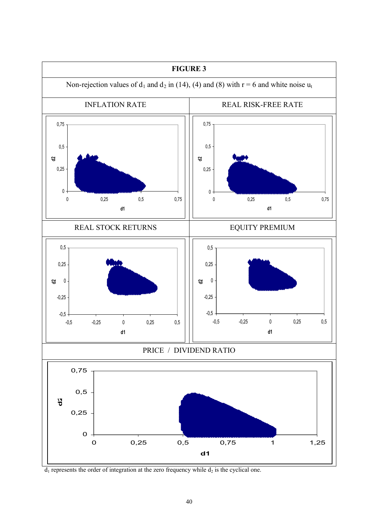

 $d_1$  represents the order of integration at the zero frequency while  $d_2$  is the cyclical one.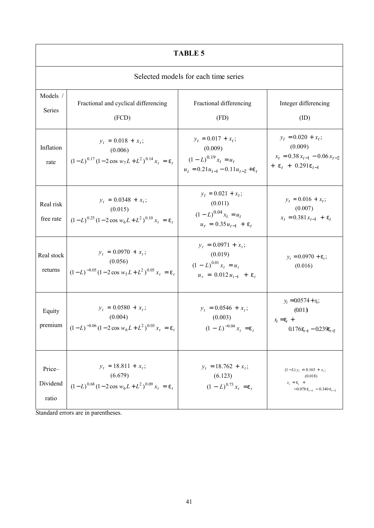| <b>TABLE 5</b>              |                                                                                                                                 |                                                                                                          |                                                                                                     |  |  |  |
|-----------------------------|---------------------------------------------------------------------------------------------------------------------------------|----------------------------------------------------------------------------------------------------------|-----------------------------------------------------------------------------------------------------|--|--|--|
|                             | Selected models for each time series                                                                                            |                                                                                                          |                                                                                                     |  |  |  |
| Models /<br>Series          | Fractional and cyclical differencing<br>(FCD)                                                                                   | Fractional differencing<br>(FD)                                                                          | Integer differencing<br>(ID)                                                                        |  |  |  |
| Inflation<br>rate           | $y_t = 0.018 + x_t;$<br>(0.006)<br>$(1-L)^{0.17} (1-2 \cos w_7 L + L^2)^{0.14} x_t = e_t$                                       | $y_t = 0.017 + x_t;$<br>(0.009)<br>$(1 - L)^{0.19} x_t = u_t$<br>$u_t = 0.21u_{t-1} - 0.11u_{t-2} + e_t$ | $y_t = 0.020 + x_t;$<br>(0.009)<br>$x_t = 0.38 x_{t-1} - 0.06 x_{t-2}$<br>+ $e_t$ + 0.291 $e_{t-1}$ |  |  |  |
| Real risk<br>free rate      | $y_t = 0.0348 + x_t;$<br>(0.015)<br>$(1-L)^{0.25} (1-2 \cos w_6 L + L^2)^{0.10} x_t = e_t$                                      | $y_t = 0.021 + x_t;$<br>(0.011)<br>$(1 - L)^{0.04} x_t = u_t$<br>$u_r = 0.35 u_{t-1} + e_t$              | $y_t = 0.016 + x_t;$<br>(0.007)<br>$x_t = 0.381 x_{t-1} + e_t$                                      |  |  |  |
| Real stock<br>returns       | $y_t = 0.0970 + x_t$ ;<br>(0.056)<br>$(1-L)^{-0.05} (1-2 \cos w_5 L + L^2)^{0.05} x_t = e_t$                                    | $y_t = 0.0971 + x_t;$<br>(0.019)<br>$(1 - L)^{0.01} x_t = u_t$<br>$u_r = 0.012 u_{t-1} + e_t$            | $y_t = 0.0970 + e_t$ ;<br>(0.016)                                                                   |  |  |  |
| Equity<br>premium           | $y_t = 0.0580 + x_t;$<br>(0.004)<br>$(1-L)^{-0.06} (1-2 \cos w_6 L + L^2)^{0.03} x_t = e_t$                                     | $y_t = 0.0546 + x_t$ ;<br>(0.003)<br>$(1 - L)^{-0.04} x_t = e_t$                                         | $y_t = 0.0574 + x_t;$<br>(0.01)<br>$x_t = e_t +$<br>$0.176e_{t-1} - 0.239e_{t-2}$                   |  |  |  |
| Price-<br>Dividend<br>ratio | $y_t = 18.811 + x_t;$<br>(6.679)<br>$(1-L)^{0.68} (1-2 \cos w_6 L + L^2)^{0.09} x_t = e_t$<br>Stondard organization peroperties | $y_t = 18.762 + x_t$ ;<br>(6.123)<br>$(1 - L)^{0.73} x_t = e_t$                                          | $(1-L)y_t = 0.163 + x_t;$<br>(0.018)<br>$x_t = e_t +$<br>$-0.078 e_{t-1} - 0.340 e_{t-2}$           |  |  |  |

Standard errors are in parentheses.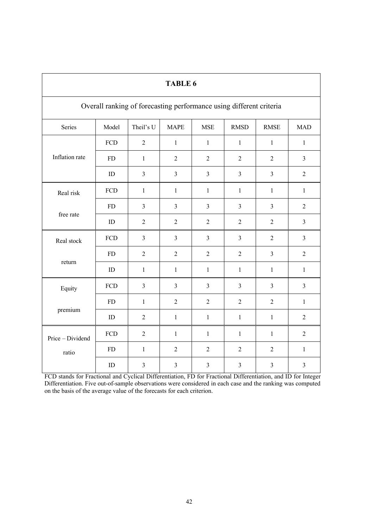| <b>TABLE 6</b>                                                      |                                                                                             |                |                |                |                |                         |                |  |  |
|---------------------------------------------------------------------|---------------------------------------------------------------------------------------------|----------------|----------------|----------------|----------------|-------------------------|----------------|--|--|
| Overall ranking of forecasting performance using different criteria |                                                                                             |                |                |                |                |                         |                |  |  |
| Series                                                              | Model<br>Theil's U<br><b>MAPE</b><br><b>MSE</b><br><b>RMSD</b><br><b>RMSE</b><br><b>MAD</b> |                |                |                |                |                         |                |  |  |
|                                                                     | FCD                                                                                         | $\overline{2}$ | $\mathbf{1}$   | $\mathbf{1}$   | $\mathbf{1}$   | $\mathbf{1}$            | $\mathbf{1}$   |  |  |
| Inflation rate                                                      | <b>FD</b>                                                                                   | $\mathbf{1}$   | $\overline{2}$ | $\overline{2}$ | $\overline{2}$ | $\overline{2}$          | $\mathfrak{Z}$ |  |  |
|                                                                     | ID                                                                                          | $\overline{3}$ | $\mathfrak{Z}$ | $\overline{3}$ | $\overline{3}$ | $\mathfrak{Z}$          | $\overline{2}$ |  |  |
| Real risk                                                           | FCD                                                                                         | $\mathbf{1}$   | $\mathbf{1}$   | $\mathbf{1}$   | $\mathbf{1}$   | $\mathbf{1}$            | $\mathbf{1}$   |  |  |
|                                                                     | <b>FD</b>                                                                                   | $\overline{3}$ | $\mathfrak{Z}$ | $\mathfrak{Z}$ | $\overline{3}$ | $\overline{3}$          | $\overline{2}$ |  |  |
| free rate                                                           | ID                                                                                          | $\overline{2}$ | $\overline{2}$ | $\overline{2}$ | $\overline{2}$ | $\overline{2}$          | $\overline{3}$ |  |  |
| Real stock                                                          | FCD                                                                                         | $\overline{3}$ | $\overline{3}$ | $\overline{3}$ | $\overline{3}$ | $\overline{2}$          | $\mathfrak{Z}$ |  |  |
|                                                                     | ${\rm FD}$                                                                                  | $\overline{2}$ | $\overline{2}$ | $\overline{2}$ | $\overline{2}$ | $\overline{3}$          | $\overline{2}$ |  |  |
| return                                                              | ID                                                                                          | $\mathbf{1}$   | $\mathbf{1}$   | $\mathbf{1}$   | $\mathbf{1}$   | $\mathbf{1}$            | $\mathbf{1}$   |  |  |
| Equity                                                              | FCD                                                                                         | $\overline{3}$ | $\mathfrak{Z}$ | $\overline{3}$ | $\overline{3}$ | $\overline{3}$          | $\mathfrak{Z}$ |  |  |
|                                                                     | <b>FD</b>                                                                                   | $\mathbf{1}$   | $\overline{2}$ | $\overline{2}$ | $\overline{2}$ | $\overline{2}$          | $\mathbf{1}$   |  |  |
| premium                                                             | ID                                                                                          | $\overline{2}$ | $\mathbf{1}$   | $\mathbf{1}$   | $\mathbf{1}$   | $\mathbf{1}$            | $\overline{2}$ |  |  |
| Price - Dividend                                                    | FCD                                                                                         | $\overline{2}$ | $\mathbf{1}$   | $\mathbf{1}$   | $\mathbf{1}$   | $\mathbf{1}$            | $\overline{2}$ |  |  |
| ratio                                                               | ${\rm FD}$                                                                                  | $\mathbf{1}$   | $\overline{2}$ | $\overline{2}$ | $\overline{2}$ | $\overline{2}$          | $\mathbf{1}$   |  |  |
|                                                                     | ID                                                                                          | $\overline{3}$ | $\overline{3}$ | 3              | $\overline{3}$ | $\overline{\mathbf{3}}$ | $\overline{3}$ |  |  |

FCD stands for Fractional and Cyclical Differentiation, FD for Fractional Differentiation, and ID for Integer Differentiation. Five out-of-sample observations were considered in each case and the ranking was computed on the basis of the average value of the forecasts for each criterion.